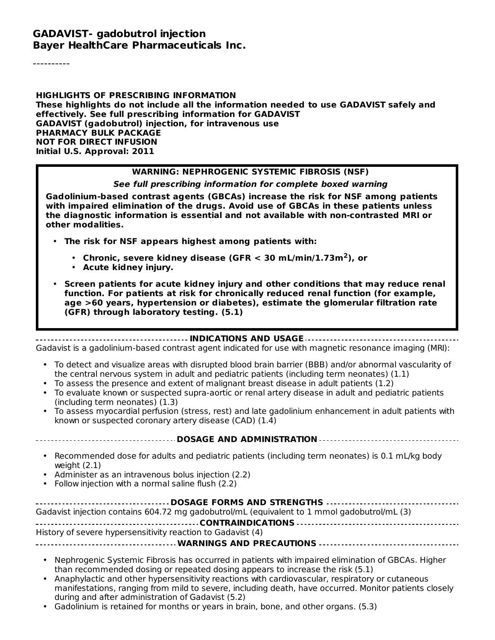#### **GADAVIST- gadobutrol injection Bayer HealthCare Pharmaceuticals Inc.**

----------

**HIGHLIGHTS OF PRESCRIBING INFORMATION These highlights do not include all the information needed to use GADAVIST safely and effectively. See full prescribing information for GADAVIST GADAVIST (gadobutrol) injection, for intravenous use PHARMACY BULK PACKAGE NOT FOR DIRECT INFUSION Initial U.S. Approval: 2011**

#### **WARNING: NEPHROGENIC SYSTEMIC FIBROSIS (NSF)**

#### **See full prescribing information for complete boxed warning**

**Gadolinium-based contrast agents (GBCAs) increase the risk for NSF among patients with impaired elimination of the drugs. Avoid use of GBCAs in these patients unless the diagnostic information is essential and not available with non-contrasted MRI or other modalities.**

- **The risk for NSF appears highest among patients with:**
	- **Chronic, severe kidney disease (GFR < 30 mL/min/1.73m ), or 2**
	- **Acute kidney injury.**
- **Screen patients for acute kidney injury and other conditions that may reduce renal function. For patients at risk for chronically reduced renal function (for example, age >60 years, hypertension or diabetes), estimate the glomerular filtration rate (GFR) through laboratory testing. (5.1)**

**INDICATIONS AND USAGE**

Gadavist is a gadolinium-based contrast agent indicated for use with magnetic resonance imaging (MRI):

- To detect and visualize areas with disrupted blood brain barrier (BBB) and/or abnormal vascularity of the central nervous system in adult and pediatric patients (including term neonates) (1.1)
- To assess the presence and extent of malignant breast disease in adult patients (1.2)
- To evaluate known or suspected supra-aortic or renal artery disease in adult and pediatric patients (including term neonates) (1.3)
- To assess myocardial perfusion (stress, rest) and late gadolinium enhancement in adult patients with known or suspected coronary artery disease (CAD) (1.4)

**DOSAGE AND ADMINISTRATION**

- Recommended dose for adults and pediatric patients (including term neonates) is 0.1 mL/kg body weight (2.1)
- Administer as an intravenous bolus injection (2.2)
- Follow injection with a normal saline flush (2.2)

| Gadavist injection contains 604.72 mg gadobutrol/mL (equivalent to 1 mmol gadobutrol/mL (3) |
|---------------------------------------------------------------------------------------------|
|                                                                                             |
| History of severe hypersensitivity reaction to Gadavist (4)                                 |
|                                                                                             |

- Nephrogenic Systemic Fibrosis has occurred in patients with impaired elimination of GBCAs. Higher than recommended dosing or repeated dosing appears to increase the risk (5.1)
- Anaphylactic and other hypersensitivity reactions with cardiovascular, respiratory or cutaneous manifestations, ranging from mild to severe, including death, have occurred. Monitor patients closely during and after administration of Gadavist (5.2)
- Gadolinium is retained for months or years in brain, bone, and other organs. (5.3)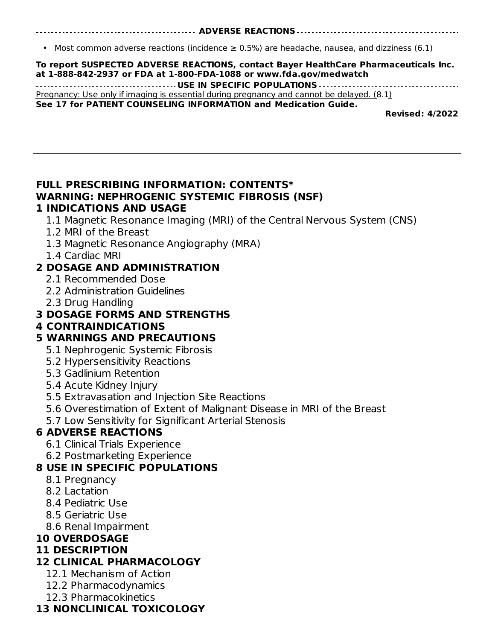#### **ADVERSE REACTIONS**

• Most common adverse reactions (incidence  $\geq$  0.5%) are headache, nausea, and dizziness (6.1)

| To report SUSPECTED ADVERSE REACTIONS, contact Bayer HealthCare Pharmaceuticals Inc.<br>at 1-888-842-2937 or FDA at 1-800-FDA-1088 or www.fda.gov/medwatch |
|------------------------------------------------------------------------------------------------------------------------------------------------------------|
|                                                                                                                                                            |
| Pregnancy: Use only if imaging is essential during pregnancy and cannot be delayed. $(8.1)$                                                                |
| See 17 for PATIENT COUNSELING INFORMATION and Medication Guide.                                                                                            |
| Barriagale Albonn                                                                                                                                          |

**Revised: 4/2022**

#### **FULL PRESCRIBING INFORMATION: CONTENTS\* WARNING: NEPHROGENIC SYSTEMIC FIBROSIS (NSF) 1 INDICATIONS AND USAGE**

1.1 Magnetic Resonance Imaging (MRI) of the Central Nervous System (CNS)

- 1.2 MRI of the Breast
- 1.3 Magnetic Resonance Angiography (MRA)
- 1.4 Cardiac MRI

#### **2 DOSAGE AND ADMINISTRATION**

- 2.1 Recommended Dose
- 2.2 Administration Guidelines
- 2.3 Drug Handling

### **3 DOSAGE FORMS AND STRENGTHS**

#### **4 CONTRAINDICATIONS**

### **5 WARNINGS AND PRECAUTIONS**

- 5.1 Nephrogenic Systemic Fibrosis
- 5.2 Hypersensitivity Reactions
- 5.3 Gadlinium Retention
- 5.4 Acute Kidney Injury
- 5.5 Extravasation and Injection Site Reactions
- 5.6 Overestimation of Extent of Malignant Disease in MRI of the Breast
- 5.7 Low Sensitivity for Significant Arterial Stenosis

### **6 ADVERSE REACTIONS**

- 6.1 Clinical Trials Experience
- 6.2 Postmarketing Experience

### **8 USE IN SPECIFIC POPULATIONS**

- 8.1 Pregnancy
- 8.2 Lactation
- 8.4 Pediatric Use
- 8.5 Geriatric Use
- 8.6 Renal Impairment

### **10 OVERDOSAGE**

#### **11 DESCRIPTION**

### **12 CLINICAL PHARMACOLOGY**

- 12.1 Mechanism of Action
- 12.2 Pharmacodynamics
- 12.3 Pharmacokinetics

### **13 NONCLINICAL TOXICOLOGY**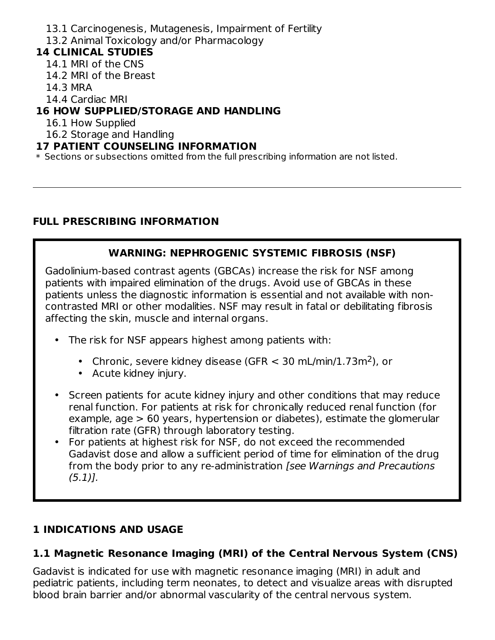- 13.1 Carcinogenesis, Mutagenesis, Impairment of Fertility
- 13.2 Animal Toxicology and/or Pharmacology

## **14 CLINICAL STUDIES**

- 14.1 MRI of the CNS
- 14.2 MRI of the Breast
- 14.3 MRA
- 14.4 Cardiac MRI

## **16 HOW SUPPLIED/STORAGE AND HANDLING**

- 16.1 How Supplied
- 16.2 Storage and Handling

#### **17 PATIENT COUNSELING INFORMATION**

\* Sections or subsections omitted from the full prescribing information are not listed.

## **FULL PRESCRIBING INFORMATION**

## **WARNING: NEPHROGENIC SYSTEMIC FIBROSIS (NSF)**

Gadolinium-based contrast agents (GBCAs) increase the risk for NSF among patients with impaired elimination of the drugs. Avoid use of GBCAs in these patients unless the diagnostic information is essential and not available with noncontrasted MRI or other modalities. NSF may result in fatal or debilitating fibrosis affecting the skin, muscle and internal organs.

- The risk for NSF appears highest among patients with:
	- Chronic, severe kidney disease (GFR  $<$  30 mL/min/1.73m<sup>2</sup>), or
	- Acute kidney injury.
- Screen patients for acute kidney injury and other conditions that may reduce renal function. For patients at risk for chronically reduced renal function (for example, age > 60 years, hypertension or diabetes), estimate the glomerular filtration rate (GFR) through laboratory testing.
- For patients at highest risk for NSF, do not exceed the recommended Gadavist dose and allow a sufficient period of time for elimination of the drug from the body prior to any re-administration [see Warnings and Precautions  $(5.1)$ .

# **1 INDICATIONS AND USAGE**

## **1.1 Magnetic Resonance Imaging (MRI) of the Central Nervous System (CNS)**

Gadavist is indicated for use with magnetic resonance imaging (MRI) in adult and pediatric patients, including term neonates, to detect and visualize areas with disrupted blood brain barrier and/or abnormal vascularity of the central nervous system.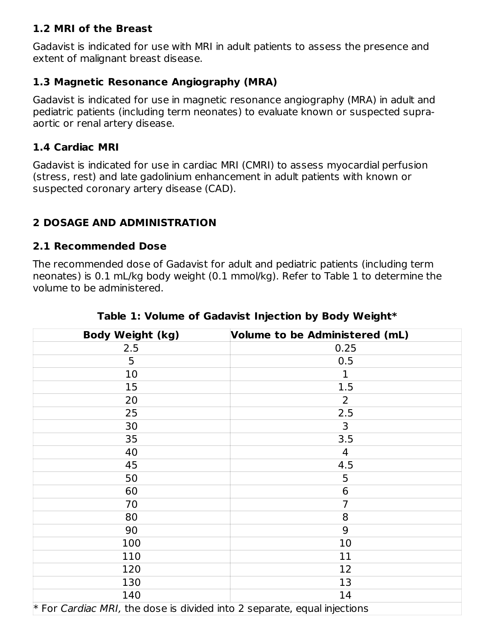#### **1.2 MRI of the Breast**

Gadavist is indicated for use with MRI in adult patients to assess the presence and extent of malignant breast disease.

#### **1.3 Magnetic Resonance Angiography (MRA)**

Gadavist is indicated for use in magnetic resonance angiography (MRA) in adult and pediatric patients (including term neonates) to evaluate known or suspected supraaortic or renal artery disease.

#### **1.4 Cardiac MRI**

Gadavist is indicated for use in cardiac MRI (CMRI) to assess myocardial perfusion (stress, rest) and late gadolinium enhancement in adult patients with known or suspected coronary artery disease (CAD).

### **2 DOSAGE AND ADMINISTRATION**

#### **2.1 Recommended Dose**

The recommended dose of Gadavist for adult and pediatric patients (including term neonates) is 0.1 mL/kg body weight (0.1 mmol/kg). Refer to Table 1 to determine the volume to be administered.

| <b>Body Weight (kg)</b>                                                    | Volume to be Administered (mL) |  |
|----------------------------------------------------------------------------|--------------------------------|--|
| 2.5                                                                        | 0.25                           |  |
| 5                                                                          | 0.5                            |  |
| 10                                                                         | 1                              |  |
| 15                                                                         | 1.5                            |  |
| 20                                                                         | $\overline{2}$                 |  |
| 25                                                                         | 2.5                            |  |
| 30                                                                         | 3                              |  |
| 35                                                                         | 3.5                            |  |
| 40                                                                         | 4                              |  |
| 45                                                                         | 4.5                            |  |
| 50                                                                         | 5                              |  |
| 60                                                                         | 6                              |  |
| 70                                                                         | $\overline{7}$                 |  |
| 80                                                                         | 8                              |  |
| 90                                                                         | 9                              |  |
| 100                                                                        | 10                             |  |
| 110                                                                        | 11                             |  |
| 120                                                                        | 12                             |  |
| 130                                                                        | 13                             |  |
| 140                                                                        | 14                             |  |
| $*$ For Cardiac MRI, the dose is divided into 2 separate, equal injections |                                |  |

**Table 1: Volume of Gadavist Injection by Body Weight\***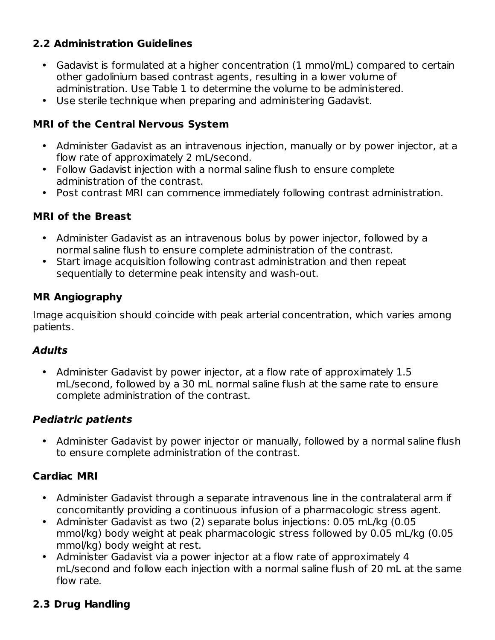### **2.2 Administration Guidelines**

- Gadavist is formulated at a higher concentration (1 mmol/mL) compared to certain other gadolinium based contrast agents, resulting in a lower volume of administration. Use Table 1 to determine the volume to be administered.
- Use sterile technique when preparing and administering Gadavist.

### **MRI of the Central Nervous System**

- Administer Gadavist as an intravenous injection, manually or by power injector, at a flow rate of approximately 2 mL/second.
- Follow Gadavist injection with a normal saline flush to ensure complete administration of the contrast.
- Post contrast MRI can commence immediately following contrast administration.

### **MRI of the Breast**

- Administer Gadavist as an intravenous bolus by power injector, followed by a normal saline flush to ensure complete administration of the contrast.
- Start image acquisition following contrast administration and then repeat sequentially to determine peak intensity and wash-out.

### **MR Angiography**

Image acquisition should coincide with peak arterial concentration, which varies among patients.

### **Adults**

• Administer Gadavist by power injector, at a flow rate of approximately 1.5 mL/second, followed by a 30 mL normal saline flush at the same rate to ensure complete administration of the contrast.

### **Pediatric patients**

• Administer Gadavist by power injector or manually, followed by a normal saline flush to ensure complete administration of the contrast.

## **Cardiac MRI**

- Administer Gadavist through a separate intravenous line in the contralateral arm if concomitantly providing a continuous infusion of a pharmacologic stress agent.
- Administer Gadavist as two (2) separate bolus injections: 0.05 mL/kg (0.05 mmol/kg) body weight at peak pharmacologic stress followed by 0.05 mL/kg (0.05 mmol/kg) body weight at rest.
- Administer Gadavist via a power injector at a flow rate of approximately 4 mL/second and follow each injection with a normal saline flush of 20 mL at the same flow rate.

## **2.3 Drug Handling**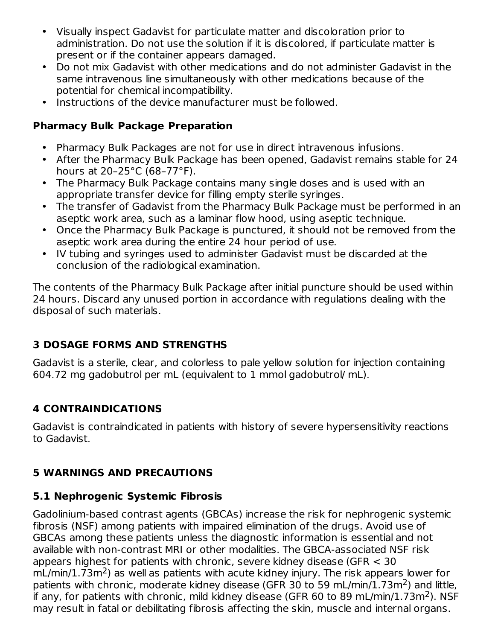- Visually inspect Gadavist for particulate matter and discoloration prior to administration. Do not use the solution if it is discolored, if particulate matter is present or if the container appears damaged.
- Do not mix Gadavist with other medications and do not administer Gadavist in the same intravenous line simultaneously with other medications because of the potential for chemical incompatibility.
- Instructions of the device manufacturer must be followed.

### **Pharmacy Bulk Package Preparation**

- Pharmacy Bulk Packages are not for use in direct intravenous infusions.
- After the Pharmacy Bulk Package has been opened, Gadavist remains stable for 24 hours at 20–25°C (68–77°F).
- The Pharmacy Bulk Package contains many single doses and is used with an appropriate transfer device for filling empty sterile syringes.
- The transfer of Gadavist from the Pharmacy Bulk Package must be performed in an aseptic work area, such as a laminar flow hood, using aseptic technique.
- Once the Pharmacy Bulk Package is punctured, it should not be removed from the aseptic work area during the entire 24 hour period of use.
- IV tubing and syringes used to administer Gadavist must be discarded at the conclusion of the radiological examination.

The contents of the Pharmacy Bulk Package after initial puncture should be used within 24 hours. Discard any unused portion in accordance with regulations dealing with the disposal of such materials.

## **3 DOSAGE FORMS AND STRENGTHS**

Gadavist is a sterile, clear, and colorless to pale yellow solution for injection containing 604.72 mg gadobutrol per mL (equivalent to 1 mmol gadobutrol/ mL).

# **4 CONTRAINDICATIONS**

Gadavist is contraindicated in patients with history of severe hypersensitivity reactions to Gadavist.

## **5 WARNINGS AND PRECAUTIONS**

## **5.1 Nephrogenic Systemic Fibrosis**

Gadolinium-based contrast agents (GBCAs) increase the risk for nephrogenic systemic fibrosis (NSF) among patients with impaired elimination of the drugs. Avoid use of GBCAs among these patients unless the diagnostic information is essential and not available with non-contrast MRI or other modalities. The GBCA-associated NSF risk appears highest for patients with chronic, severe kidney disease (GFR < 30  $mL/min/1.73m<sup>2</sup>$ ) as well as patients with acute kidney injury. The risk appears lower for patients with chronic, moderate kidney disease (GFR 30 to 59 mL/min/1.73m<sup>2</sup>) and little, if any, for patients with chronic, mild kidney disease (GFR 60 to 89 mL/min/1.73m<sup>2</sup>). NSF may result in fatal or debilitating fibrosis affecting the skin, muscle and internal organs.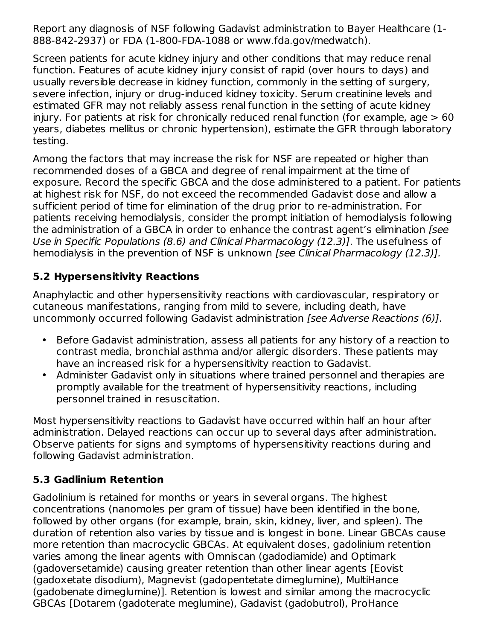Report any diagnosis of NSF following Gadavist administration to Bayer Healthcare (1- 888-842-2937) or FDA (1-800-FDA-1088 or www.fda.gov/medwatch).

Screen patients for acute kidney injury and other conditions that may reduce renal function. Features of acute kidney injury consist of rapid (over hours to days) and usually reversible decrease in kidney function, commonly in the setting of surgery, severe infection, injury or drug-induced kidney toxicity. Serum creatinine levels and estimated GFR may not reliably assess renal function in the setting of acute kidney injury. For patients at risk for chronically reduced renal function (for example, age > 60 years, diabetes mellitus or chronic hypertension), estimate the GFR through laboratory testing.

Among the factors that may increase the risk for NSF are repeated or higher than recommended doses of a GBCA and degree of renal impairment at the time of exposure. Record the specific GBCA and the dose administered to a patient. For patients at highest risk for NSF, do not exceed the recommended Gadavist dose and allow a sufficient period of time for elimination of the drug prior to re-administration. For patients receiving hemodialysis, consider the prompt initiation of hemodialysis following the administration of a GBCA in order to enhance the contrast agent's elimination [see Use in Specific Populations (8.6) and Clinical Pharmacology (12.3)]. The usefulness of hemodialysis in the prevention of NSF is unknown [see Clinical Pharmacology (12.3)].

### **5.2 Hypersensitivity Reactions**

Anaphylactic and other hypersensitivity reactions with cardiovascular, respiratory or cutaneous manifestations, ranging from mild to severe, including death, have uncommonly occurred following Gadavist administration [see Adverse Reactions (6)].

- Before Gadavist administration, assess all patients for any history of a reaction to contrast media, bronchial asthma and/or allergic disorders. These patients may have an increased risk for a hypersensitivity reaction to Gadavist.
- Administer Gadavist only in situations where trained personnel and therapies are promptly available for the treatment of hypersensitivity reactions, including personnel trained in resuscitation.

Most hypersensitivity reactions to Gadavist have occurred within half an hour after administration. Delayed reactions can occur up to several days after administration. Observe patients for signs and symptoms of hypersensitivity reactions during and following Gadavist administration.

### **5.3 Gadlinium Retention**

Gadolinium is retained for months or years in several organs. The highest concentrations (nanomoles per gram of tissue) have been identified in the bone, followed by other organs (for example, brain, skin, kidney, liver, and spleen). The duration of retention also varies by tissue and is longest in bone. Linear GBCAs cause more retention than macrocyclic GBCAs. At equivalent doses, gadolinium retention varies among the linear agents with Omniscan (gadodiamide) and Optimark (gadoversetamide) causing greater retention than other linear agents [Eovist (gadoxetate disodium), Magnevist (gadopentetate dimeglumine), MultiHance (gadobenate dimeglumine)]. Retention is lowest and similar among the macrocyclic GBCAs [Dotarem (gadoterate meglumine), Gadavist (gadobutrol), ProHance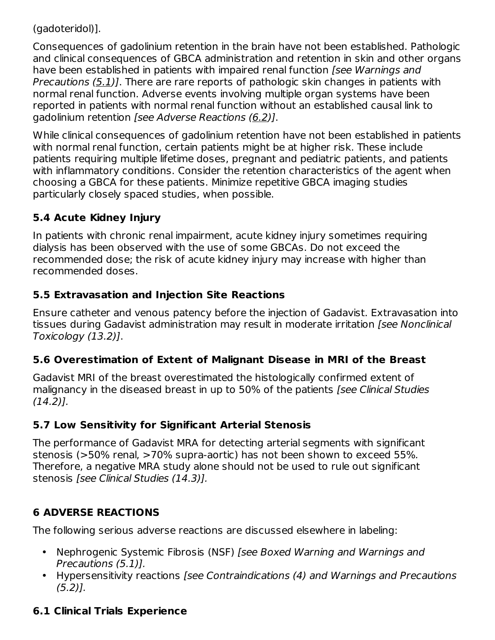(gadoteridol)].

Consequences of gadolinium retention in the brain have not been established. Pathologic and clinical consequences of GBCA administration and retention in skin and other organs have been established in patients with impaired renal function [see Warnings and Precautions (5.1)]. There are rare reports of pathologic skin changes in patients with normal renal function. Adverse events involving multiple organ systems have been reported in patients with normal renal function without an established causal link to gadolinium retention [see Adverse Reactions (6.2)].

While clinical consequences of gadolinium retention have not been established in patients with normal renal function, certain patients might be at higher risk. These include patients requiring multiple lifetime doses, pregnant and pediatric patients, and patients with inflammatory conditions. Consider the retention characteristics of the agent when choosing a GBCA for these patients. Minimize repetitive GBCA imaging studies particularly closely spaced studies, when possible.

# **5.4 Acute Kidney Injury**

In patients with chronic renal impairment, acute kidney injury sometimes requiring dialysis has been observed with the use of some GBCAs. Do not exceed the recommended dose; the risk of acute kidney injury may increase with higher than recommended doses.

## **5.5 Extravasation and Injection Site Reactions**

Ensure catheter and venous patency before the injection of Gadavist. Extravasation into tissues during Gadavist administration may result in moderate irritation [see Nonclinical Toxicology (13.2)].

## **5.6 Overestimation of Extent of Malignant Disease in MRI of the Breast**

Gadavist MRI of the breast overestimated the histologically confirmed extent of malignancy in the diseased breast in up to 50% of the patients [see Clinical Studies (14.2)].

## **5.7 Low Sensitivity for Significant Arterial Stenosis**

The performance of Gadavist MRA for detecting arterial segments with significant stenosis (>50% renal, >70% supra-aortic) has not been shown to exceed 55%. Therefore, a negative MRA study alone should not be used to rule out significant stenosis [see Clinical Studies (14.3)].

# **6 ADVERSE REACTIONS**

The following serious adverse reactions are discussed elsewhere in labeling:

- Nephrogenic Systemic Fibrosis (NSF) [see Boxed Warning and Warnings and Precautions (5.1)].
- Hypersensitivity reactions [see Contraindications (4) and Warnings and Precautions  $(5.2)$ ].

# **6.1 Clinical Trials Experience**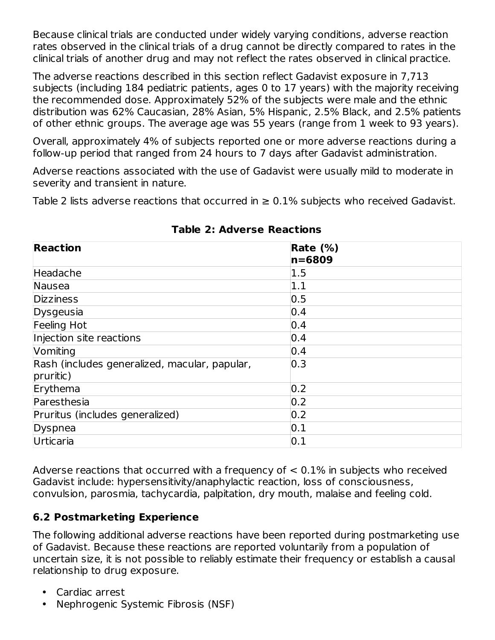Because clinical trials are conducted under widely varying conditions, adverse reaction rates observed in the clinical trials of a drug cannot be directly compared to rates in the clinical trials of another drug and may not reflect the rates observed in clinical practice.

The adverse reactions described in this section reflect Gadavist exposure in 7,713 subjects (including 184 pediatric patients, ages 0 to 17 years) with the majority receiving the recommended dose. Approximately 52% of the subjects were male and the ethnic distribution was 62% Caucasian, 28% Asian, 5% Hispanic, 2.5% Black, and 2.5% patients of other ethnic groups. The average age was 55 years (range from 1 week to 93 years).

Overall, approximately 4% of subjects reported one or more adverse reactions during a follow-up period that ranged from 24 hours to 7 days after Gadavist administration.

Adverse reactions associated with the use of Gadavist were usually mild to moderate in severity and transient in nature.

Table 2 lists adverse reactions that occurred in  $\geq$  0.1% subjects who received Gadavist.

| <b>Reaction</b>                               | Rate $(\%)$       |
|-----------------------------------------------|-------------------|
|                                               | $ n = 6809$       |
| Headache                                      | 1.5               |
| Nausea                                        | 1.1               |
| <b>Dizziness</b>                              | 0.5               |
| Dysgeusia                                     | 0.4               |
| Feeling Hot                                   | 0.4               |
| Injection site reactions                      | 0.4               |
| Vomiting                                      | 0.4               |
| Rash (includes generalized, macular, papular, | $\overline{0.3}$  |
| pruritic)                                     |                   |
| Erythema                                      | 0.2               |
| Paresthesia                                   | 0.2               |
| Pruritus (includes generalized)               | 0.2               |
| Dyspnea                                       | $\vert 0.1 \vert$ |
| Urticaria                                     | 0.1               |

**Table 2: Adverse Reactions**

Adverse reactions that occurred with a frequency of  $< 0.1\%$  in subjects who received Gadavist include: hypersensitivity/anaphylactic reaction, loss of consciousness, convulsion, parosmia, tachycardia, palpitation, dry mouth, malaise and feeling cold.

## **6.2 Postmarketing Experience**

The following additional adverse reactions have been reported during postmarketing use of Gadavist. Because these reactions are reported voluntarily from a population of uncertain size, it is not possible to reliably estimate their frequency or establish a causal relationship to drug exposure.

- Cardiac arrest
- Nephrogenic Systemic Fibrosis (NSF)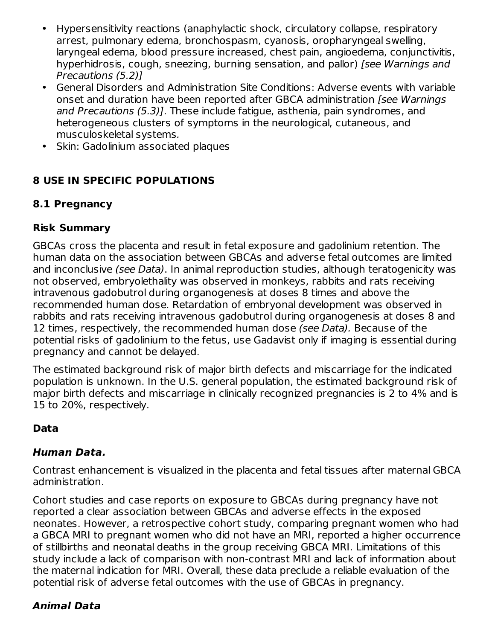- Hypersensitivity reactions (anaphylactic shock, circulatory collapse, respiratory arrest, pulmonary edema, bronchospasm, cyanosis, oropharyngeal swelling, laryngeal edema, blood pressure increased, chest pain, angioedema, conjunctivitis, hyperhidrosis, cough, sneezing, burning sensation, and pallor) [see Warnings and Precautions (5.2)]
- General Disorders and Administration Site Conditions: Adverse events with variable onset and duration have been reported after GBCA administration *[see Warnings*] and Precautions (5.3)]. These include fatigue, asthenia, pain syndromes, and heterogeneous clusters of symptoms in the neurological, cutaneous, and musculoskeletal systems.
- $\bullet$ Skin: Gadolinium associated plaques

## **8 USE IN SPECIFIC POPULATIONS**

## **8.1 Pregnancy**

## **Risk Summary**

GBCAs cross the placenta and result in fetal exposure and gadolinium retention. The human data on the association between GBCAs and adverse fetal outcomes are limited and inconclusive (see Data). In animal reproduction studies, although teratogenicity was not observed, embryolethality was observed in monkeys, rabbits and rats receiving intravenous gadobutrol during organogenesis at doses 8 times and above the recommended human dose. Retardation of embryonal development was observed in rabbits and rats receiving intravenous gadobutrol during organogenesis at doses 8 and 12 times, respectively, the recommended human dose (see Data). Because of the potential risks of gadolinium to the fetus, use Gadavist only if imaging is essential during pregnancy and cannot be delayed.

The estimated background risk of major birth defects and miscarriage for the indicated population is unknown. In the U.S. general population, the estimated background risk of major birth defects and miscarriage in clinically recognized pregnancies is 2 to 4% and is 15 to 20%, respectively.

## **Data**

## **Human Data.**

Contrast enhancement is visualized in the placenta and fetal tissues after maternal GBCA administration.

Cohort studies and case reports on exposure to GBCAs during pregnancy have not reported a clear association between GBCAs and adverse effects in the exposed neonates. However, a retrospective cohort study, comparing pregnant women who had a GBCA MRI to pregnant women who did not have an MRI, reported a higher occurrence of stillbirths and neonatal deaths in the group receiving GBCA MRI. Limitations of this study include a lack of comparison with non-contrast MRI and lack of information about the maternal indication for MRI. Overall, these data preclude a reliable evaluation of the potential risk of adverse fetal outcomes with the use of GBCAs in pregnancy.

# **Animal Data**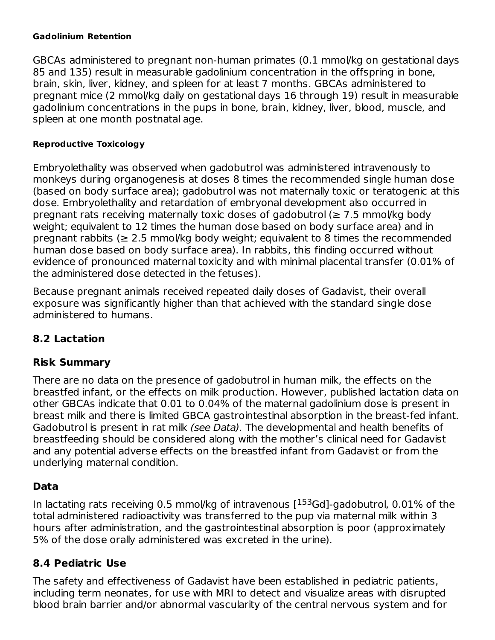#### **Gadolinium Retention**

GBCAs administered to pregnant non-human primates (0.1 mmol/kg on gestational days 85 and 135) result in measurable gadolinium concentration in the offspring in bone, brain, skin, liver, kidney, and spleen for at least 7 months. GBCAs administered to pregnant mice (2 mmol/kg daily on gestational days 16 through 19) result in measurable gadolinium concentrations in the pups in bone, brain, kidney, liver, blood, muscle, and spleen at one month postnatal age.

#### **Reproductive Toxicology**

Embryolethality was observed when gadobutrol was administered intravenously to monkeys during organogenesis at doses 8 times the recommended single human dose (based on body surface area); gadobutrol was not maternally toxic or teratogenic at this dose. Embryolethality and retardation of embryonal development also occurred in pregnant rats receiving maternally toxic doses of gadobutrol ( $\geq 7.5$  mmol/kg body weight; equivalent to 12 times the human dose based on body surface area) and in pregnant rabbits ( $\geq 2.5$  mmol/kg body weight; equivalent to 8 times the recommended human dose based on body surface area). In rabbits, this finding occurred without evidence of pronounced maternal toxicity and with minimal placental transfer (0.01% of the administered dose detected in the fetuses).

Because pregnant animals received repeated daily doses of Gadavist, their overall exposure was significantly higher than that achieved with the standard single dose administered to humans.

### **8.2 Lactation**

#### **Risk Summary**

There are no data on the presence of gadobutrol in human milk, the effects on the breastfed infant, or the effects on milk production. However, published lactation data on other GBCAs indicate that 0.01 to 0.04% of the maternal gadolinium dose is present in breast milk and there is limited GBCA gastrointestinal absorption in the breast-fed infant. Gadobutrol is present in rat milk (see Data). The developmental and health benefits of breastfeeding should be considered along with the mother's clinical need for Gadavist and any potential adverse effects on the breastfed infant from Gadavist or from the underlying maternal condition.

#### **Data**

In lactating rats receiving 0.5 mmol/kg of intravenous  $[^{153}Gd]$ -gadobutrol, 0.01% of the total administered radioactivity was transferred to the pup via maternal milk within 3 hours after administration, and the gastrointestinal absorption is poor (approximately 5% of the dose orally administered was excreted in the urine).

#### **8.4 Pediatric Use**

The safety and effectiveness of Gadavist have been established in pediatric patients, including term neonates, for use with MRI to detect and visualize areas with disrupted blood brain barrier and/or abnormal vascularity of the central nervous system and for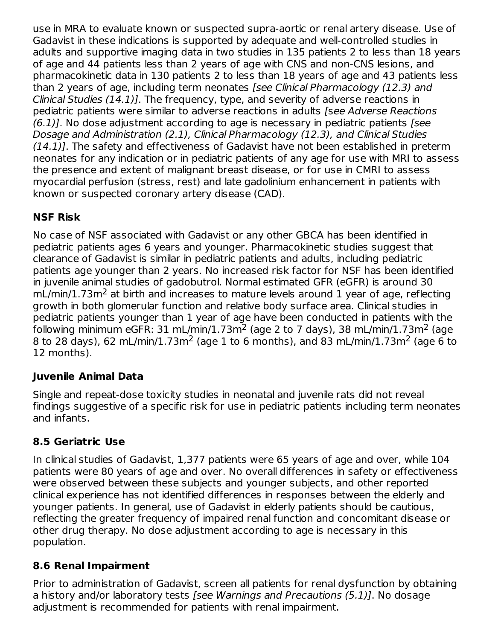use in MRA to evaluate known or suspected supra-aortic or renal artery disease. Use of Gadavist in these indications is supported by adequate and well-controlled studies in adults and supportive imaging data in two studies in 135 patients 2 to less than 18 years of age and 44 patients less than 2 years of age with CNS and non-CNS lesions, and pharmacokinetic data in 130 patients 2 to less than 18 years of age and 43 patients less than 2 years of age, including term neonates [see Clinical Pharmacology (12.3) and Clinical Studies (14.1)]. The frequency, type, and severity of adverse reactions in pediatric patients were similar to adverse reactions in adults [see Adverse Reactions  $(6.1)$ ]. No dose adjustment according to age is necessary in pediatric patients [see Dosage and Administration (2.1), Clinical Pharmacology (12.3), and Clinical Studies  $(14.1)$ ]. The safety and effectiveness of Gadavist have not been established in preterm neonates for any indication or in pediatric patients of any age for use with MRI to assess the presence and extent of malignant breast disease, or for use in CMRI to assess myocardial perfusion (stress, rest) and late gadolinium enhancement in patients with known or suspected coronary artery disease (CAD).

## **NSF Risk**

No case of NSF associated with Gadavist or any other GBCA has been identified in pediatric patients ages 6 years and younger. Pharmacokinetic studies suggest that clearance of Gadavist is similar in pediatric patients and adults, including pediatric patients age younger than 2 years. No increased risk factor for NSF has been identified in juvenile animal studies of gadobutrol. Normal estimated GFR (eGFR) is around 30  $mL/min/1.73m<sup>2</sup>$  at birth and increases to mature levels around 1 year of age, reflecting growth in both glomerular function and relative body surface area. Clinical studies in pediatric patients younger than 1 year of age have been conducted in patients with the following minimum eGFR: 31 mL/min/1.73m<sup>2</sup> (age 2 to 7 days), 38 mL/min/1.73m<sup>2</sup> (age 8 to 28 days), 62 mL/min/1.73m<sup>2</sup> (age 1 to 6 months), and 83 mL/min/1.73m<sup>2</sup> (age 6 to 12 months).

## **Juvenile Animal Data**

Single and repeat-dose toxicity studies in neonatal and juvenile rats did not reveal findings suggestive of a specific risk for use in pediatric patients including term neonates and infants.

### **8.5 Geriatric Use**

In clinical studies of Gadavist, 1,377 patients were 65 years of age and over, while 104 patients were 80 years of age and over. No overall differences in safety or effectiveness were observed between these subjects and younger subjects, and other reported clinical experience has not identified differences in responses between the elderly and younger patients. In general, use of Gadavist in elderly patients should be cautious, reflecting the greater frequency of impaired renal function and concomitant disease or other drug therapy. No dose adjustment according to age is necessary in this population.

### **8.6 Renal Impairment**

Prior to administration of Gadavist, screen all patients for renal dysfunction by obtaining a history and/or laboratory tests [see Warnings and Precautions (5.1)]. No dosage adjustment is recommended for patients with renal impairment.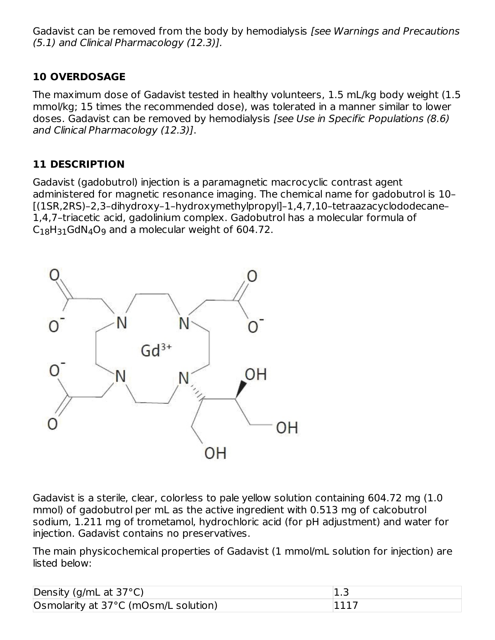Gadavist can be removed from the body by hemodialysis [see Warnings and Precautions (5.1) and Clinical Pharmacology (12.3)].

### **10 OVERDOSAGE**

The maximum dose of Gadavist tested in healthy volunteers, 1.5 mL/kg body weight (1.5 mmol/kg; 15 times the recommended dose), was tolerated in a manner similar to lower doses. Gadavist can be removed by hemodialysis [see Use in Specific Populations (8.6) and Clinical Pharmacology (12.3)].

## **11 DESCRIPTION**

Gadavist (gadobutrol) injection is a paramagnetic macrocyclic contrast agent administered for magnetic resonance imaging. The chemical name for gadobutrol is 10– [(1SR,2RS)–2,3–dihydroxy–1–hydroxymethylpropyl]–1,4,7,10–tetraazacyclododecane– 1,4,7–triacetic acid, gadolinium complex. Gadobutrol has a molecular formula of  $C_{18}H_{31}$ GdN $_4$ O $_9$  and a molecular weight of 604.72.



Gadavist is a sterile, clear, colorless to pale yellow solution containing 604.72 mg (1.0 mmol) of gadobutrol per mL as the active ingredient with 0.513 mg of calcobutrol sodium, 1.211 mg of trometamol, hydrochloric acid (for pH adjustment) and water for injection. Gadavist contains no preservatives.

The main physicochemical properties of Gadavist (1 mmol/mL solution for injection) are listed below:

| Density (g/mL at $37^{\circ}$ C)     | د. 1 |
|--------------------------------------|------|
| Osmolarity at 37°C (mOsm/L solution) |      |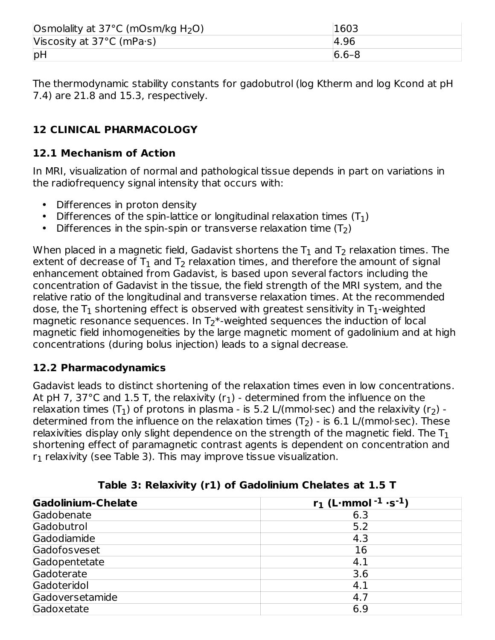| Osmolality at $37^{\circ}$ C (mOsm/kg H <sub>2</sub> O) | 1603      |
|---------------------------------------------------------|-----------|
| Viscosity at $37^{\circ}$ C (mPa $\cdot$ s)             | 4.96      |
| pH                                                      | $6.6 - 8$ |

The thermodynamic stability constants for gadobutrol (log Ktherm and log Kcond at pH 7.4) are 21.8 and 15.3, respectively.

## **12 CLINICAL PHARMACOLOGY**

### **12.1 Mechanism of Action**

In MRI, visualization of normal and pathological tissue depends in part on variations in the radiofrequency signal intensity that occurs with:

- Differences in proton density
- Differences of the spin-lattice or longitudinal relaxation times  $(T_1)$
- Differences in the spin-spin or transverse relaxation time  $(T_2)$

When placed in a magnetic field, Gadavist shortens the  ${\mathsf T}_1$  and  ${\mathsf T}_2$  relaxation times. The extent of decrease of  ${\sf T}_1$  and  ${\sf T}_2$  relaxation times, and therefore the amount of signal enhancement obtained from Gadavist, is based upon several factors including the concentration of Gadavist in the tissue, the field strength of the MRI system, and the relative ratio of the longitudinal and transverse relaxation times. At the recommended dose, the T $_{\rm 1}$  shortening effect is observed with greatest sensitivity in T $_{\rm 1}$ -weighted magnetic resonance sequences. In  $T_2^*$ -weighted sequences the induction of local magnetic field inhomogeneities by the large magnetic moment of gadolinium and at high concentrations (during bolus injection) leads to a signal decrease.

### **12.2 Pharmacodynamics**

Gadavist leads to distinct shortening of the relaxation times even in low concentrations. At pH 7, 37°C and 1.5 T, the relaxivity (r $_1$ ) - determined from the influence on the relaxation times (T<sub>1</sub>) of protons in plasma - is 5.2 L/(mmol·sec) and the relaxivity (r<sub>2</sub>) determined from the influence on the relaxation times (T $_2$ ) - is 6.1 L/(mmol·sec). These relaxivities display only slight dependence on the strength of the magnetic field. The  $\mathsf{T}_1$ shortening effect of paramagnetic contrast agents is dependent on concentration and  ${\sf r}_1$  relaxivity (see Table 3). This may improve tissue visualization.

| Gadolinium-Chelate | $r_1$ (L·mmol <sup>-1</sup> ·s <sup>-1</sup> ) |
|--------------------|------------------------------------------------|
| Gadobenate         | 6.3                                            |
| Gadobutrol         | 5.2                                            |
| Gadodiamide        | 4.3                                            |
| Gadofosveset       | 16                                             |
| Gadopentetate      | 4.1                                            |
| Gadoterate         | 3.6                                            |
| Gadoteridol        | 4.1                                            |
| Gadoversetamide    | 4.7                                            |
| Gadoxetate         | 6.9                                            |

|  |  |  |  |  | Table 3: Relaxivity (r1) of Gadolinium Chelates at 1.5 T |  |  |  |  |
|--|--|--|--|--|----------------------------------------------------------|--|--|--|--|
|--|--|--|--|--|----------------------------------------------------------|--|--|--|--|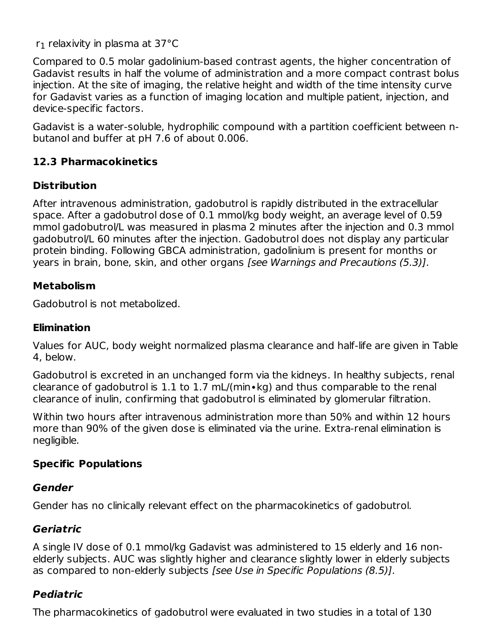$r_1$  relaxivity in plasma at 37°C

Compared to 0.5 molar gadolinium-based contrast agents, the higher concentration of Gadavist results in half the volume of administration and a more compact contrast bolus injection. At the site of imaging, the relative height and width of the time intensity curve for Gadavist varies as a function of imaging location and multiple patient, injection, and device-specific factors.

Gadavist is a water-soluble, hydrophilic compound with a partition coefficient between nbutanol and buffer at pH 7.6 of about 0.006.

### **12.3 Pharmacokinetics**

### **Distribution**

After intravenous administration, gadobutrol is rapidly distributed in the extracellular space. After a gadobutrol dose of 0.1 mmol/kg body weight, an average level of 0.59 mmol gadobutrol/L was measured in plasma 2 minutes after the injection and 0.3 mmol gadobutrol/L 60 minutes after the injection. Gadobutrol does not display any particular protein binding. Following GBCA administration, gadolinium is present for months or years in brain, bone, skin, and other organs [see Warnings and Precautions (5.3)].

### **Metabolism**

Gadobutrol is not metabolized.

### **Elimination**

Values for AUC, body weight normalized plasma clearance and half-life are given in Table 4, below.

Gadobutrol is excreted in an unchanged form via the kidneys. In healthy subjects, renal clearance of gadobutrol is 1.1 to 1.7 mL/(min∙kg) and thus comparable to the renal clearance of inulin, confirming that gadobutrol is eliminated by glomerular filtration.

Within two hours after intravenous administration more than 50% and within 12 hours more than 90% of the given dose is eliminated via the urine. Extra-renal elimination is negligible.

## **Specific Populations**

### **Gender**

Gender has no clinically relevant effect on the pharmacokinetics of gadobutrol.

# **Geriatric**

A single IV dose of 0.1 mmol/kg Gadavist was administered to 15 elderly and 16 nonelderly subjects. AUC was slightly higher and clearance slightly lower in elderly subjects as compared to non-elderly subjects [see Use in Specific Populations (8.5)].

# **Pediatric**

The pharmacokinetics of gadobutrol were evaluated in two studies in a total of 130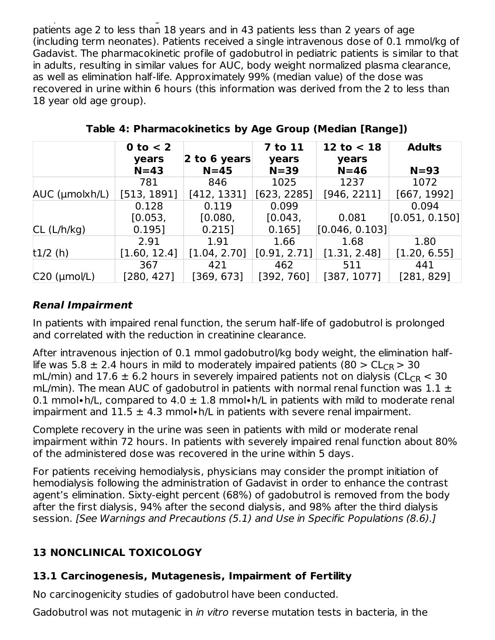The pharmacokinetics of gadobutrol were evaluated in two studies in two studies in two studies in a total of 1 patients age 2 to less than 18 years and in 43 patients less than 2 years of age (including term neonates). Patients received a single intravenous dose of 0.1 mmol/kg of Gadavist. The pharmacokinetic profile of gadobutrol in pediatric patients is similar to that in adults, resulting in similar values for AUC, body weight normalized plasma clearance, as well as elimination half-life. Approximately 99% (median value) of the dose was recovered in urine within 6 hours (this information was derived from the 2 to less than 18 year old age group).

|                      | $0$ to $<$ 2<br>years | 2 to 6 years | <b>7 to 11</b><br>years | 12 to $<$ 18<br>years | <b>Adults</b>  |
|----------------------|-----------------------|--------------|-------------------------|-----------------------|----------------|
|                      | $N=43$                | $N=45$       | $N = 39$                | $N=46$                | $N=93$         |
|                      | 781                   | 846          | 1025                    | 1237                  | 1072           |
| $AUC$ (µmolxh/L)     | [513, 1891]           | [412, 1331]  | [623, 2285]             | [946, 2211]           | [667, 1992]    |
|                      | 0.128                 | 0.119        | 0.099                   |                       | 0.094          |
|                      | [0.053]               | [0.080,      | [0.043]                 | 0.081                 | [0.051, 0.150] |
| CL (L/h/kg)          | 0.195]                | $0.215$ ]    | 0.165]                  | [0.046, 0.103]        |                |
|                      | 2.91                  | 1.91         | 1.66                    | 1.68                  | 1.80           |
| $t1/2$ (h)           | [1.60, 12.4]          | [1.04, 2.70] | [0.91, 2.71]            | [1.31, 2.48]          | [1.20, 6.55]   |
|                      | 367                   | 421          | 462                     | 511                   | 441            |
| $C20$ ( $\mu$ mol/L) | [280, 427]            | [369, 673]   | [392, 760]              | [387, 1077]           | [281, 829]     |

**Table 4: Pharmacokinetics by Age Group (Median [Range])**

## **Renal Impairment**

In patients with impaired renal function, the serum half-life of gadobutrol is prolonged and correlated with the reduction in creatinine clearance.

After intravenous injection of 0.1 mmol gadobutrol/kg body weight, the elimination halflife was 5.8  $\pm$  2.4 hours in mild to moderately impaired patients (80  $>$  CL<sub>CR</sub>  $>$  30 mL/min) and  $17.6 \pm 6.2$  hours in severely impaired patients not on dialysis (CL $_{\sf CR}$   $<$  30 mL/min). The mean AUC of gadobutrol in patients with normal renal function was  $1.1 \pm$ 0.1 mmol•h/L, compared to 4.0  $\pm$  1.8 mmol•h/L in patients with mild to moderate renal impairment and  $11.5 \pm 4.3$  mmol•h/L in patients with severe renal impairment.

Complete recovery in the urine was seen in patients with mild or moderate renal impairment within 72 hours. In patients with severely impaired renal function about 80% of the administered dose was recovered in the urine within 5 days.

For patients receiving hemodialysis, physicians may consider the prompt initiation of hemodialysis following the administration of Gadavist in order to enhance the contrast agent's elimination. Sixty-eight percent (68%) of gadobutrol is removed from the body after the first dialysis, 94% after the second dialysis, and 98% after the third dialysis session. [See Warnings and Precautions (5.1) and Use in Specific Populations (8.6).]

# **13 NONCLINICAL TOXICOLOGY**

# **13.1 Carcinogenesis, Mutagenesis, Impairment of Fertility**

No carcinogenicity studies of gadobutrol have been conducted.

Gadobutrol was not mutagenic in *in vitro* reverse mutation tests in bacteria, in the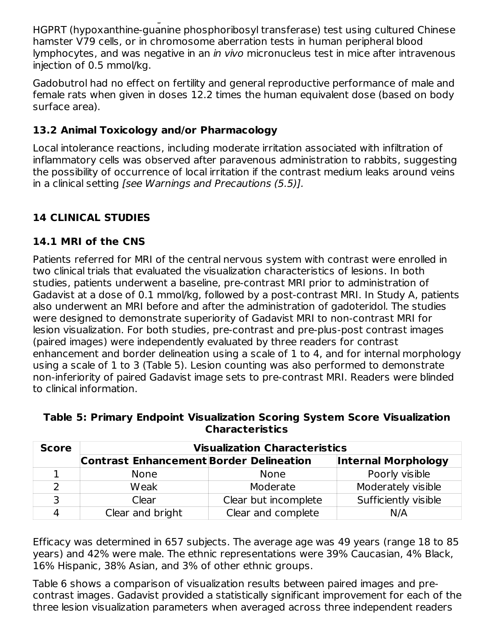Gadobutrol was not mutagenic in in vitro reverse mutation tests in bacteria, in the HGPRT (hypoxanthine-guanine phosphoribosyl transferase) test using cultured Chinese hamster V79 cells, or in chromosome aberration tests in human peripheral blood lymphocytes, and was negative in an in vivo micronucleus test in mice after intravenous injection of 0.5 mmol/kg.

Gadobutrol had no effect on fertility and general reproductive performance of male and female rats when given in doses 12.2 times the human equivalent dose (based on body surface area).

## **13.2 Animal Toxicology and/or Pharmacology**

Local intolerance reactions, including moderate irritation associated with infiltration of inflammatory cells was observed after paravenous administration to rabbits, suggesting the possibility of occurrence of local irritation if the contrast medium leaks around veins in a clinical setting [see Warnings and Precautions (5.5)].

# **14 CLINICAL STUDIES**

## **14.1 MRI of the CNS**

Patients referred for MRI of the central nervous system with contrast were enrolled in two clinical trials that evaluated the visualization characteristics of lesions. In both studies, patients underwent a baseline, pre-contrast MRI prior to administration of Gadavist at a dose of 0.1 mmol/kg, followed by a post-contrast MRI. In Study A, patients also underwent an MRI before and after the administration of gadoteridol. The studies were designed to demonstrate superiority of Gadavist MRI to non-contrast MRI for lesion visualization. For both studies, pre-contrast and pre-plus-post contrast images (paired images) were independently evaluated by three readers for contrast enhancement and border delineation using a scale of 1 to 4, and for internal morphology using a scale of 1 to 3 (Table 5). Lesion counting was also performed to demonstrate non-inferiority of paired Gadavist image sets to pre-contrast MRI. Readers were blinded to clinical information.

| <b>Score</b> | <b>Visualization Characteristics</b>           |                      |                            |  |  |  |
|--------------|------------------------------------------------|----------------------|----------------------------|--|--|--|
|              | <b>Contrast Enhancement Border Delineation</b> |                      | <b>Internal Morphology</b> |  |  |  |
|              | <b>None</b>                                    | <b>None</b>          | Poorly visible             |  |  |  |
|              | Weak                                           | Moderate             | Moderately visible         |  |  |  |
|              | Clear                                          | Clear but incomplete | Sufficiently visible       |  |  |  |
|              | Clear and bright                               | Clear and complete   | N/A                        |  |  |  |

#### **Table 5: Primary Endpoint Visualization Scoring System Score Visualization Characteristics**

Efficacy was determined in 657 subjects. The average age was 49 years (range 18 to 85 years) and 42% were male. The ethnic representations were 39% Caucasian, 4% Black, 16% Hispanic, 38% Asian, and 3% of other ethnic groups.

Table 6 shows a comparison of visualization results between paired images and precontrast images. Gadavist provided a statistically significant improvement for each of the three lesion visualization parameters when averaged across three independent readers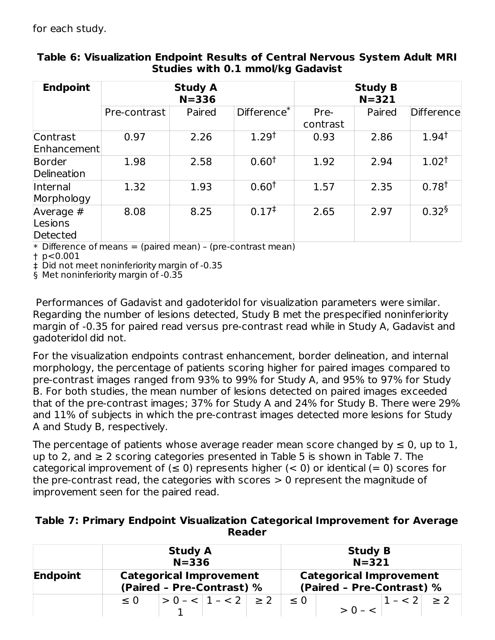for each study.

| <b>Endpoint</b>                  |              | <b>Study A</b><br>$N = 336$ |                         | <b>Study B</b><br>$N = 321$ |        |                   |
|----------------------------------|--------------|-----------------------------|-------------------------|-----------------------------|--------|-------------------|
|                                  | Pre-contrast | Paired                      | Difference <sup>*</sup> | Pre-<br>contrast            | Paired | <b>Difference</b> |
| Contrast<br>Enhancement          | 0.97         | 2.26                        | 1.29 <sup>†</sup>       | 0.93                        | 2.86   | $1.94^{\dagger}$  |
| Border<br>Delineation            | 1.98         | 2.58                        | 0.60 <sup>†</sup>       | 1.92                        | 2.94   | $1.02^+$          |
| Internal<br>Morphology           | 1.32         | 1.93                        | 0.60 <sup>†</sup>       | 1.57                        | 2.35   | 0.78 <sup>†</sup> |
| Average #<br>Lesions<br>Detected | 8.08         | 8.25                        | $0.17^{\ddagger}$       | 2.65                        | 2.97   | $0.32^{\S}$       |

#### **Table 6: Visualization Endpoint Results of Central Nervous System Adult MRI Studies with 0.1 mmol/kg Gadavist**

\* Difference of means = (paired mean) – (pre-contrast mean)

† p<0.001

‡ Did not meet noninferiority margin of -0.35

§ Met noninferiority margin of -0.35

Performances of Gadavist and gadoteridol for visualization parameters were similar. Regarding the number of lesions detected, Study B met the prespecified noninferiority margin of -0.35 for paired read versus pre-contrast read while in Study A, Gadavist and gadoteridol did not.

For the visualization endpoints contrast enhancement, border delineation, and internal morphology, the percentage of patients scoring higher for paired images compared to pre-contrast images ranged from 93% to 99% for Study A, and 95% to 97% for Study B. For both studies, the mean number of lesions detected on paired images exceeded that of the pre-contrast images; 37% for Study A and 24% for Study B. There were 29% and 11% of subjects in which the pre-contrast images detected more lesions for Study A and Study B, respectively.

The percentage of patients whose average reader mean score changed by  $\leq 0$ , up to 1, up to 2, and  $\geq$  2 scoring categories presented in Table 5 is shown in Table 7. The categorical improvement of  $(\leq 0)$  represents higher  $(< 0)$  or identical  $(= 0)$  scores for the pre-contrast read, the categories with scores > 0 represent the magnitude of improvement seen for the paired read.

| Table 7: Primary Endpoint Visualization Categorical Improvement for Average |
|-----------------------------------------------------------------------------|
| <b>Reader</b>                                                               |

|                 | <b>Study A</b><br>$N = 336$                                 |  |                                                             |  | <b>Study B</b><br>$N = 321$ |           |         |     |
|-----------------|-------------------------------------------------------------|--|-------------------------------------------------------------|--|-----------------------------|-----------|---------|-----|
| <b>Endpoint</b> | <b>Categorical Improvement</b><br>(Paired - Pre-Contrast) % |  | <b>Categorical Improvement</b><br>(Paired - Pre-Contrast) % |  |                             |           |         |     |
|                 | $\leq 0$                                                    |  | $> 0 - < 1 - < 2$ $\geq 2$                                  |  | $\leq 0$                    | $> 0 - 5$ | $1 - 2$ | > 2 |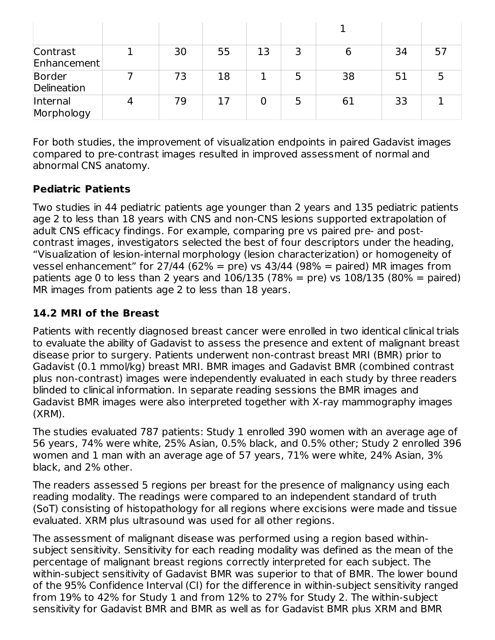| Contrast<br>Enhancement | 30 | 55 | 13 |    | 34 | 57 |
|-------------------------|----|----|----|----|----|----|
| Border<br>Delineation   | 73 | 18 |    | 38 | 51 |    |
| Internal<br>Morphology  | 79 |    |    | 61 | 33 |    |

For both studies, the improvement of visualization endpoints in paired Gadavist images compared to pre-contrast images resulted in improved assessment of normal and abnormal CNS anatomy.

### **Pediatric Patients**

Two studies in 44 pediatric patients age younger than 2 years and 135 pediatric patients age 2 to less than 18 years with CNS and non-CNS lesions supported extrapolation of adult CNS efficacy findings. For example, comparing pre vs paired pre- and postcontrast images, investigators selected the best of four descriptors under the heading, "Visualization of lesion-internal morphology (lesion characterization) or homogeneity of vessel enhancement" for  $27/44$  (62% = pre) vs  $43/44$  (98% = paired) MR images from patients age 0 to less than 2 years and  $106/135$  (78% = pre) vs  $108/135$  (80% = paired) MR images from patients age 2 to less than 18 years.

### **14.2 MRI of the Breast**

Patients with recently diagnosed breast cancer were enrolled in two identical clinical trials to evaluate the ability of Gadavist to assess the presence and extent of malignant breast disease prior to surgery. Patients underwent non-contrast breast MRI (BMR) prior to Gadavist (0.1 mmol/kg) breast MRI. BMR images and Gadavist BMR (combined contrast plus non-contrast) images were independently evaluated in each study by three readers blinded to clinical information. In separate reading sessions the BMR images and Gadavist BMR images were also interpreted together with X-ray mammography images (XRM).

The studies evaluated 787 patients: Study 1 enrolled 390 women with an average age of 56 years, 74% were white, 25% Asian, 0.5% black, and 0.5% other; Study 2 enrolled 396 women and 1 man with an average age of 57 years, 71% were white, 24% Asian, 3% black, and 2% other.

The readers assessed 5 regions per breast for the presence of malignancy using each reading modality. The readings were compared to an independent standard of truth (SoT) consisting of histopathology for all regions where excisions were made and tissue evaluated. XRM plus ultrasound was used for all other regions.

The assessment of malignant disease was performed using a region based withinsubject sensitivity. Sensitivity for each reading modality was defined as the mean of the percentage of malignant breast regions correctly interpreted for each subject. The within-subject sensitivity of Gadavist BMR was superior to that of BMR. The lower bound of the 95% Confidence Interval (CI) for the difference in within-subject sensitivity ranged from 19% to 42% for Study 1 and from 12% to 27% for Study 2. The within-subject sensitivity for Gadavist BMR and BMR as well as for Gadavist BMR plus XRM and BMR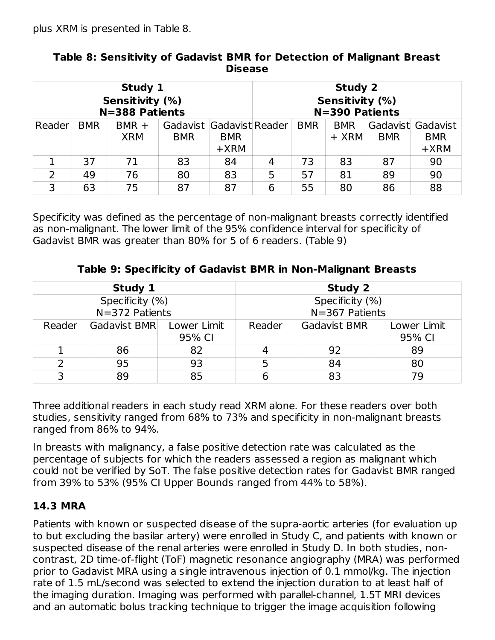|                                   |            | Study 1               |                                        |                      |                                   |            | <b>Study 2</b>      |            |                                           |
|-----------------------------------|------------|-----------------------|----------------------------------------|----------------------|-----------------------------------|------------|---------------------|------------|-------------------------------------------|
| Sensitivity (%)<br>N=388 Patients |            |                       |                                        |                      | Sensitivity (%)<br>N=390 Patients |            |                     |            |                                           |
| Reader                            | <b>BMR</b> | $BMR +$<br><b>XRM</b> | Gadavist Gadavist Reader<br><b>BMR</b> | <b>BMR</b><br>$+XRM$ |                                   | <b>BMR</b> | <b>BMR</b><br>+ XRM | <b>BMR</b> | Gadavist Gadavist<br><b>BMR</b><br>$+XRM$ |
|                                   | 37         | 71                    | 83                                     | 84                   | 4                                 | 73         | 83                  | 87         | 90                                        |
| $\overline{2}$                    | 49         | 76                    | 80                                     | 83                   | 5                                 | 57         | 81                  | 89         | 90                                        |
| 3                                 | 63         | 75                    | 87                                     | 87                   | 6                                 | 55         | 80                  | 86         | 88                                        |

#### **Table 8: Sensitivity of Gadavist BMR for Detection of Malignant Breast Disease**

Specificity was defined as the percentage of non-malignant breasts correctly identified as non-malignant. The lower limit of the 95% confidence interval for specificity of Gadavist BMR was greater than 80% for 5 of 6 readers. (Table 9)

|        | Study 1                               |                       | Study 2                               |                     |                       |  |  |
|--------|---------------------------------------|-----------------------|---------------------------------------|---------------------|-----------------------|--|--|
|        | Specificity (%)<br>$N = 372$ Patients |                       | Specificity (%)<br>$N = 367$ Patients |                     |                       |  |  |
| Reader | Gadavist BMR                          | Lower Limit<br>95% CI | Reader                                | <b>Gadavist BMR</b> | Lower Limit<br>95% CI |  |  |
|        | 86                                    | 82                    |                                       | 92                  | 89                    |  |  |
|        | 95                                    | 93                    |                                       | 84                  | 80                    |  |  |
| っ      | 89                                    | 85                    |                                       | 83                  | 70                    |  |  |

**Table 9: Specificity of Gadavist BMR in Non-Malignant Breasts**

Three additional readers in each study read XRM alone. For these readers over both studies, sensitivity ranged from 68% to 73% and specificity in non-malignant breasts ranged from 86% to 94%.

In breasts with malignancy, a false positive detection rate was calculated as the percentage of subjects for which the readers assessed a region as malignant which could not be verified by SoT. The false positive detection rates for Gadavist BMR ranged from 39% to 53% (95% CI Upper Bounds ranged from 44% to 58%).

# **14.3 MRA**

Patients with known or suspected disease of the supra-aortic arteries (for evaluation up to but excluding the basilar artery) were enrolled in Study C, and patients with known or suspected disease of the renal arteries were enrolled in Study D. In both studies, noncontrast, 2D time-of-flight (ToF) magnetic resonance angiography (MRA) was performed prior to Gadavist MRA using a single intravenous injection of 0.1 mmol/kg. The injection rate of 1.5 mL/second was selected to extend the injection duration to at least half of the imaging duration. Imaging was performed with parallel-channel, 1.5T MRI devices and an automatic bolus tracking technique to trigger the image acquisition following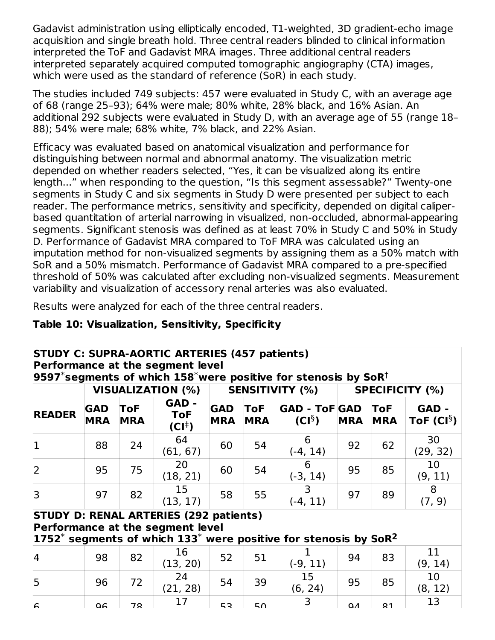Gadavist administration using elliptically encoded, T1-weighted, 3D gradient-echo image acquisition and single breath hold. Three central readers blinded to clinical information interpreted the ToF and Gadavist MRA images. Three additional central readers interpreted separately acquired computed tomographic angiography (CTA) images, which were used as the standard of reference (SoR) in each study.

The studies included 749 subjects: 457 were evaluated in Study C, with an average age of 68 (range 25–93); 64% were male; 80% white, 28% black, and 16% Asian. An additional 292 subjects were evaluated in Study D, with an average age of 55 (range 18– 88); 54% were male; 68% white, 7% black, and 22% Asian.

Efficacy was evaluated based on anatomical visualization and performance for distinguishing between normal and abnormal anatomy. The visualization metric depended on whether readers selected, "Yes, it can be visualized along its entire length..." when responding to the question, "Is this segment assessable?" Twenty-one segments in Study C and six segments in Study D were presented per subject to each reader. The performance metrics, sensitivity and specificity, depended on digital caliperbased quantitation of arterial narrowing in visualized, non-occluded, abnormal-appearing segments. Significant stenosis was defined as at least 70% in Study C and 50% in Study D. Performance of Gadavist MRA compared to ToF MRA was calculated using an imputation method for non-visualized segments by assigning them as a 50% match with SoR and a 50% mismatch. Performance of Gadavist MRA compared to a pre-specified threshold of 50% was calculated after excluding non-visualized segments. Measurement variability and visualization of accessory renal arteries was also evaluated.

Results were analyzed for each of the three central readers.

### **Table 10: Visualization, Sensitivity, Specificity**

|                |                          |                          | <b>STUDY C: SUPRA-AORTIC ARTERIES (457 patients)</b><br>Performance at the segment level |                          |                   | $ $ 9597 $^*$ segments of which 158 $^*$ were positive for stenosis by SoR $^\dagger$      |            |                          |                          |
|----------------|--------------------------|--------------------------|------------------------------------------------------------------------------------------|--------------------------|-------------------|--------------------------------------------------------------------------------------------|------------|--------------------------|--------------------------|
|                |                          |                          | <b>VISUALIZATION (%)</b>                                                                 |                          |                   | <b>SENSITIVITY (%)</b>                                                                     |            |                          | <b>SPECIFICITY (%)</b>   |
| <b>READER</b>  | <b>GAD</b><br><b>MRA</b> | <b>ToF</b><br><b>MRA</b> | GAD -<br><b>ToF</b><br>$(CI^{\ddagger})$                                                 | <b>GAD</b><br><b>MRA</b> | ToF<br><b>MRA</b> | <b>GAD - ToF GAD</b><br>$(CI^{\S})$                                                        | <b>MRA</b> | <b>ToF</b><br><b>MRA</b> | GAD -<br>ToF $(Cl^{\S})$ |
| 1              | 88                       | 24                       | 64<br>(61, 67)                                                                           | 60                       | 54                | 6<br>$(-4, 14)$                                                                            | 92         | 62                       | 30<br>(29, 32)           |
| $\overline{2}$ | 95                       | 75                       | 20<br>(18, 21)                                                                           | 60                       | 54                | 6<br>$(-3, 14)$                                                                            | 95         | 85                       | 10<br>(9, 11)            |
| 3              | 97                       | 82                       | 15<br>(13, 17)                                                                           | 58                       | 55                | 3<br>$(-4, 11)$                                                                            | 97         | 89                       | 8<br>(7, 9)              |
|                |                          |                          | <b>STUDY D: RENAL ARTERIES (292 patients)</b><br>Performance at the segment level        |                          |                   | $ $ 1752 $^*$ segments of which 133 $^*$ were positive for stenosis by SoR $^{\mathsf{2}}$ |            |                          |                          |
| $\overline{4}$ | 98                       | 82                       | 16<br>(13, 20)                                                                           | 52                       | 51                | $(-9, 11)$                                                                                 | 94         | 83                       | 11<br>(9, 14)            |
| 5              | 96                       | 72                       | 24<br>(21, 28)                                                                           | 54                       | 39                | 15<br>(6, 24)                                                                              | 95         | 85                       | 10<br>(8, 12)            |
| $\sqrt{2}$     | Q6                       | 70                       | 17                                                                                       | 52                       | 50                | 3                                                                                          | $\Omega$   | Q <sub>1</sub>           | 13                       |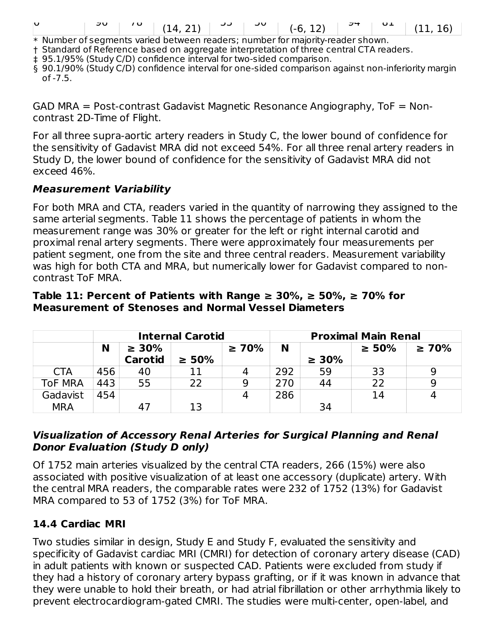|--|--|--|--|--|--|--|--|--|--|

\* Number of segments varied between readers; number for majority-reader shown.

† Standard of Reference based on aggregate interpretation of three central CTA readers.

‡ 95.1/95% (Study C/D) confidence interval for two-sided comparison.

§ 90.1/90% (Study C/D) confidence interval for one-sided comparison against non-inferiority margin  $of -7.5.$ 

GAD MRA = Post-contrast Gadavist Magnetic Resonance Angiography, ToF = Noncontrast 2D-Time of Flight.

For all three supra-aortic artery readers in Study C, the lower bound of confidence for the sensitivity of Gadavist MRA did not exceed 54%. For all three renal artery readers in Study D, the lower bound of confidence for the sensitivity of Gadavist MRA did not exceed 46%.

#### **Measurement Variability**

For both MRA and CTA, readers varied in the quantity of narrowing they assigned to the same arterial segments. Table 11 shows the percentage of patients in whom the measurement range was 30% or greater for the left or right internal carotid and proximal renal artery segments. There were approximately four measurements per patient segment, one from the site and three central readers. Measurement variability was high for both CTA and MRA, but numerically lower for Gadavist compared to noncontrast ToF MRA.

#### **Table 11: Percent of Patients with Range ≥ 30%, ≥ 50%, ≥ 70% for Measurement of Stenoses and Normal Vessel Diameters**

|                |     |                | <b>Internal Carotid</b> |             | <b>Proximal Main Renal</b> |             |             |             |  |
|----------------|-----|----------------|-------------------------|-------------|----------------------------|-------------|-------------|-------------|--|
|                | N   | $\geq 30\%$    |                         | $\geq 70\%$ | N                          |             | $\geq 50\%$ | $\geq 70\%$ |  |
|                |     | <b>Carotid</b> | $\geq 50\%$             |             |                            | $\geq 30\%$ |             |             |  |
| <b>CTA</b>     | 456 | 40             | 11                      |             | 292                        | 59          | 33          |             |  |
| <b>ToF MRA</b> | 443 | 55             | 22                      | Q           | 270                        | 44          | 22          | 9           |  |
| Gadavist       | 454 |                |                         |             | 286                        |             | 14          |             |  |
| <b>MRA</b>     |     |                | 13                      |             |                            | 34          |             |             |  |

#### **Visualization of Accessory Renal Arteries for Surgical Planning and Renal Donor Evaluation (Study D only)**

Of 1752 main arteries visualized by the central CTA readers, 266 (15%) were also associated with positive visualization of at least one accessory (duplicate) artery. With the central MRA readers, the comparable rates were 232 of 1752 (13%) for Gadavist MRA compared to 53 of 1752 (3%) for ToF MRA.

#### **14.4 Cardiac MRI**

Two studies similar in design, Study E and Study F, evaluated the sensitivity and specificity of Gadavist cardiac MRI (CMRI) for detection of coronary artery disease (CAD) in adult patients with known or suspected CAD. Patients were excluded from study if they had a history of coronary artery bypass grafting, or if it was known in advance that they were unable to hold their breath, or had atrial fibrillation or other arrhythmia likely to prevent electrocardiogram-gated CMRI. The studies were multi-center, open-label, and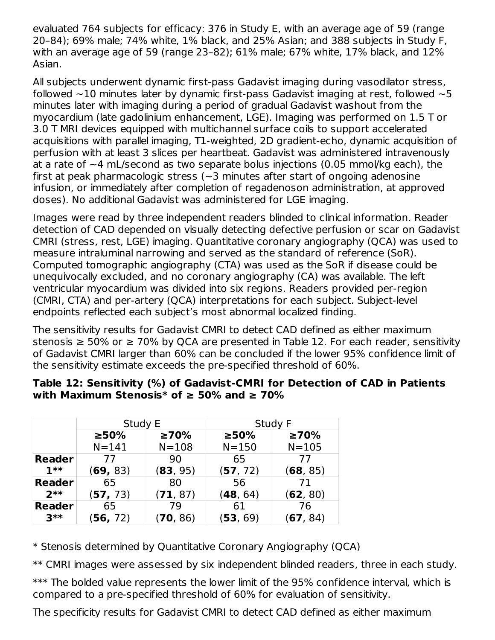evaluated 764 subjects for efficacy: 376 in Study E, with an average age of 59 (range 20–84); 69% male; 74% white, 1% black, and 25% Asian; and 388 subjects in Study F, with an average age of 59 (range 23–82); 61% male; 67% white, 17% black, and 12% Asian.

All subjects underwent dynamic first-pass Gadavist imaging during vasodilator stress, followed  $\sim$ 10 minutes later by dynamic first-pass Gadavist imaging at rest, followed  $\sim$ 5 minutes later with imaging during a period of gradual Gadavist washout from the myocardium (late gadolinium enhancement, LGE). Imaging was performed on 1.5 T or 3.0 T MRI devices equipped with multichannel surface coils to support accelerated acquisitions with parallel imaging, T1-weighted, 2D gradient-echo, dynamic acquisition of perfusion with at least 3 slices per heartbeat. Gadavist was administered intravenously at a rate of  $\sim$ 4 mL/second as two separate bolus injections (0.05 mmol/kg each), the first at peak pharmacologic stress ( $\sim$ 3 minutes after start of ongoing adenosine infusion, or immediately after completion of regadenoson administration, at approved doses). No additional Gadavist was administered for LGE imaging.

Images were read by three independent readers blinded to clinical information. Reader detection of CAD depended on visually detecting defective perfusion or scar on Gadavist CMRI (stress, rest, LGE) imaging. Quantitative coronary angiography (QCA) was used to measure intraluminal narrowing and served as the standard of reference (SoR). Computed tomographic angiography (CTA) was used as the SoR if disease could be unequivocally excluded, and no coronary angiography (CA) was available. The left ventricular myocardium was divided into six regions. Readers provided per-region (CMRI, CTA) and per-artery (QCA) interpretations for each subject. Subject-level endpoints reflected each subject's most abnormal localized finding.

The sensitivity results for Gadavist CMRI to detect CAD defined as either maximum stenosis  $\geq 50\%$  or  $\geq 70\%$  by QCA are presented in Table 12. For each reader, sensitivity of Gadavist CMRI larger than 60% can be concluded if the lower 95% confidence limit of the sensitivity estimate exceeds the pre-specified threshold of 60%.

|               | Study E   |             |           | Study F     |
|---------------|-----------|-------------|-----------|-------------|
|               | $> 50\%$  | $\geq 70\%$ | $>50\%$   | $\geq 70\%$ |
|               | $N = 141$ | $N = 108$   | $N = 150$ | $N = 105$   |
| <b>Reader</b> | 77        | 90          | 65        | 77          |
| $1**$         | (69, 83)  | (83, 95)    | (57, 72)  | (68, 85)    |
| <b>Reader</b> | 65        | -80         | 56        | 71          |
| $2**$         | (57, 73)  | (71, 87)    | (48, 64)  | (62, 80)    |
| <b>Reader</b> | 65        | 79          | 61        | 76          |
| $3**$         | (56, 72)  | (70, 86)    | (53, 69)  | (67, 84)    |

#### **Table 12: Sensitivity (%) of Gadavist-CMRI for Detection of CAD in Patients with Maximum Stenosis\* of ≥ 50% and ≥ 70%**

\* Stenosis determined by Quantitative Coronary Angiography (QCA)

\*\* CMRI images were assessed by six independent blinded readers, three in each study.

\*\*\* The bolded value represents the lower limit of the 95% confidence interval, which is compared to a pre-specified threshold of 60% for evaluation of sensitivity.

The specificity results for Gadavist CMRI to detect CAD defined as either maximum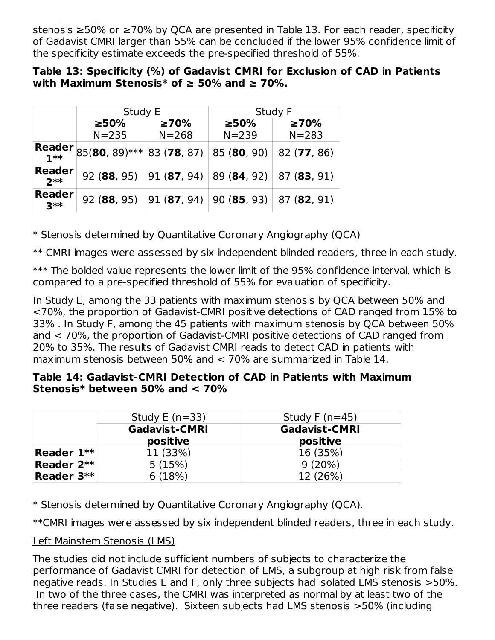The specificity results for Gadavist  $\Gamma$  to define as either maximum maximum maximum maximum maximum maximum stenosis ≥50% or ≥70% by QCA are presented in Table 13. For each reader, specificity of Gadavist CMRI larger than 55% can be concluded if the lower 95% confidence limit of the specificity estimate exceeds the pre-specified threshold of 55%.

#### **Table 13: Specificity (%) of Gadavist CMRI for Exclusion of CAD in Patients with Maximum Stenosis\* of ≥ 50% and ≥ 70%.**

|                        | Study E                      |                           | Study F                                            |             |  |  |
|------------------------|------------------------------|---------------------------|----------------------------------------------------|-------------|--|--|
|                        | $\geq 50\%$                  | $\geq 70\%$               | $\geq 50\%$                                        | $\geq 70\%$ |  |  |
|                        | $N = 235$                    | $N = 268$                 | $N = 239$                                          | $N = 283$   |  |  |
| Reader                 | $85(80, 89)$ *** 83 (78, 87) |                           | 85 (80, 90)                                        | 82 (77, 86) |  |  |
| <b>Reader</b><br>$2**$ |                              | 92 (88, 95)   91 (87, 94) | 89(84, 92)  87(83, 91)                             |             |  |  |
| <b>Reader</b><br>$3**$ |                              | 92 (88, 95)   91 (87, 94) | $\mid$ 90 ( <b>85</b> , 93)   87 ( <b>82</b> , 91) |             |  |  |

\* Stenosis determined by Quantitative Coronary Angiography (QCA)

\*\* CMRI images were assessed by six independent blinded readers, three in each study.

\*\*\* The bolded value represents the lower limit of the 95% confidence interval, which is compared to a pre-specified threshold of 55% for evaluation of specificity.

In Study E, among the 33 patients with maximum stenosis by QCA between 50% and <70%, the proportion of Gadavist-CMRI positive detections of CAD ranged from 15% to 33% . In Study F, among the 45 patients with maximum stenosis by QCA between 50% and < 70%, the proportion of Gadavist-CMRI positive detections of CAD ranged from 20% to 35%. The results of Gadavist CMRI reads to detect CAD in patients with maximum stenosis between 50% and < 70% are summarized in Table 14.

#### **Table 14: Gadavist-CMRI Detection of CAD in Patients with Maximum Stenosis\* between 50% and < 70%**

|            | Study E $(n=33)$     | Study F $(n=45)$     |
|------------|----------------------|----------------------|
|            | <b>Gadavist-CMRI</b> | <b>Gadavist-CMRI</b> |
|            | positive             | positive             |
| Reader 1** | 11 (33%)             | 16 (35%)             |
| Reader 2** | 5(15%)               | 9(20%)               |
| Reader 3** | 6(18%)               | 12 (26%)             |

\* Stenosis determined by Quantitative Coronary Angiography (QCA).

\*\*CMRI images were assessed by six independent blinded readers, three in each study.

### Left Mainstem Stenosis (LMS)

The studies did not include sufficient numbers of subjects to characterize the performance of Gadavist CMRI for detection of LMS, a subgroup at high risk from false negative reads. In Studies E and F, only three subjects had isolated LMS stenosis >50%. In two of the three cases, the CMRI was interpreted as normal by at least two of the three readers (false negative). Sixteen subjects had LMS stenosis >50% (including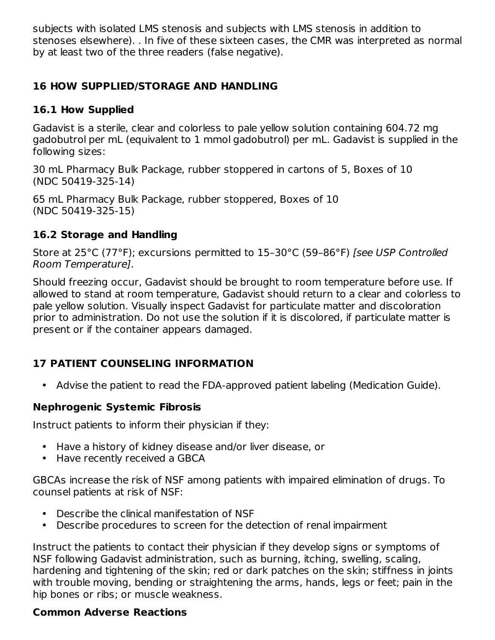subjects with isolated LMS stenosis and subjects with LMS stenosis in addition to stenoses elsewhere). . In five of these sixteen cases, the CMR was interpreted as normal by at least two of the three readers (false negative).

### **16 HOW SUPPLIED/STORAGE AND HANDLING**

## **16.1 How Supplied**

Gadavist is a sterile, clear and colorless to pale yellow solution containing 604.72 mg gadobutrol per mL (equivalent to 1 mmol gadobutrol) per mL. Gadavist is supplied in the following sizes:

30 mL Pharmacy Bulk Package, rubber stoppered in cartons of 5, Boxes of 10 (NDC 50419-325-14)

65 mL Pharmacy Bulk Package, rubber stoppered, Boxes of 10 (NDC 50419-325-15)

## **16.2 Storage and Handling**

Store at 25°C (77°F); excursions permitted to 15–30°C (59–86°F) [see USP Controlled Room Temperature].

Should freezing occur, Gadavist should be brought to room temperature before use. If allowed to stand at room temperature, Gadavist should return to a clear and colorless to pale yellow solution. Visually inspect Gadavist for particulate matter and discoloration prior to administration. Do not use the solution if it is discolored, if particulate matter is present or if the container appears damaged.

# **17 PATIENT COUNSELING INFORMATION**

• Advise the patient to read the FDA-approved patient labeling (Medication Guide).

## **Nephrogenic Systemic Fibrosis**

Instruct patients to inform their physician if they:

- Have a history of kidney disease and/or liver disease, or
- Have recently received a GBCA

GBCAs increase the risk of NSF among patients with impaired elimination of drugs. To counsel patients at risk of NSF:

- Describe the clinical manifestation of NSF
- Describe procedures to screen for the detection of renal impairment

Instruct the patients to contact their physician if they develop signs or symptoms of NSF following Gadavist administration, such as burning, itching, swelling, scaling, hardening and tightening of the skin; red or dark patches on the skin; stiffness in joints with trouble moving, bending or straightening the arms, hands, legs or feet; pain in the hip bones or ribs; or muscle weakness.

## **Common Adverse Reactions**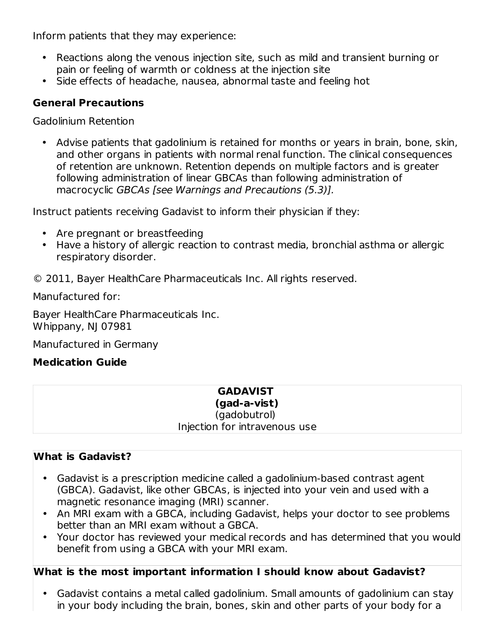Inform patients that they may experience:

- Reactions along the venous injection site, such as mild and transient burning or pain or feeling of warmth or coldness at the injection site
- Side effects of headache, nausea, abnormal taste and feeling hot

## **General Precautions**

Gadolinium Retention

• Advise patients that gadolinium is retained for months or years in brain, bone, skin, and other organs in patients with normal renal function. The clinical consequences of retention are unknown. Retention depends on multiple factors and is greater following administration of linear GBCAs than following administration of macrocyclic GBCAs [see Warnings and Precautions (5.3)].

Instruct patients receiving Gadavist to inform their physician if they:

- Are pregnant or breastfeeding
- Have a history of allergic reaction to contrast media, bronchial asthma or allergic respiratory disorder.

© 2011, Bayer HealthCare Pharmaceuticals Inc. All rights reserved.

Manufactured for:

Bayer HealthCare Pharmaceuticals Inc. Whippany, NJ 07981

Manufactured in Germany

### **Medication Guide**

# **GADAVIST**

**(gad-a-vist)**

(gadobutrol) Injection for intravenous use

## **What is Gadavist?**

- Gadavist is a prescription medicine called a gadolinium-based contrast agent (GBCA). Gadavist, like other GBCAs, is injected into your vein and used with a magnetic resonance imaging (MRI) scanner.
- An MRI exam with a GBCA, including Gadavist, helps your doctor to see problems better than an MRI exam without a GBCA.
- Your doctor has reviewed your medical records and has determined that you would benefit from using a GBCA with your MRI exam.

### **What is the most important information I should know about Gadavist?**

• Gadavist contains a metal called gadolinium. Small amounts of gadolinium can stay in your body including the brain, bones, skin and other parts of your body for a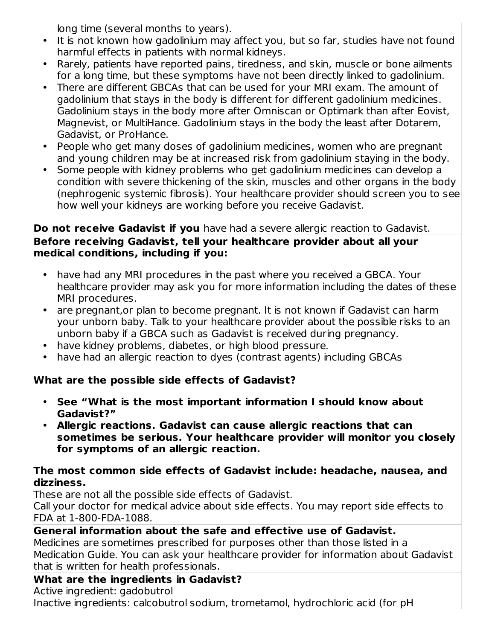long time (several months to years).

- It is not known how gadolinium may affect you, but so far, studies have not found harmful effects in patients with normal kidneys.
- Rarely, patients have reported pains, tiredness, and skin, muscle or bone ailments for a long time, but these symptoms have not been directly linked to gadolinium.
- There are different GBCAs that can be used for your MRI exam. The amount of gadolinium that stays in the body is different for different gadolinium medicines. Gadolinium stays in the body more after Omniscan or Optimark than after Eovist, Magnevist, or MultiHance. Gadolinium stays in the body the least after Dotarem, Gadavist, or ProHance.
- People who get many doses of gadolinium medicines, women who are pregnant and young children may be at increased risk from gadolinium staying in the body.
- Some people with kidney problems who get gadolinium medicines can develop a condition with severe thickening of the skin, muscles and other organs in the body (nephrogenic systemic fibrosis). Your healthcare provider should screen you to see how well your kidneys are working before you receive Gadavist.

### **Do not receive Gadavist if you** have had a severe allergic reaction to Gadavist. **Before receiving Gadavist, tell your healthcare provider about all your medical conditions, including if you:**

- have had any MRI procedures in the past where you received a GBCA. Your healthcare provider may ask you for more information including the dates of these MRI procedures.
- are pregnant, or plan to become pregnant. It is not known if Gadavist can harm your unborn baby. Talk to your healthcare provider about the possible risks to an unborn baby if a GBCA such as Gadavist is received during pregnancy.
- have kidney problems, diabetes, or high blood pressure.
- have had an allergic reaction to dyes (contrast agents) including GBCAs

## **What are the possible side effects of Gadavist?**

- **See "What is the most important information I should know about Gadavist?"**
- **Allergic reactions. Gadavist can cause allergic reactions that can sometimes be serious. Your healthcare provider will monitor you closely for symptoms of an allergic reaction.**

#### **The most common side effects of Gadavist include: headache, nausea, and dizziness.**

These are not all the possible side effects of Gadavist.

Call your doctor for medical advice about side effects. You may report side effects to FDA at 1-800-FDA-1088.

## **General information about the safe and effective use of Gadavist.**

Medicines are sometimes prescribed for purposes other than those listed in a Medication Guide. You can ask your healthcare provider for information about Gadavist that is written for health professionals.

## **What are the ingredients in Gadavist?**

Active ingredient: gadobutrol

Inactive ingredients: calcobutrol sodium, trometamol, hydrochloric acid (for pH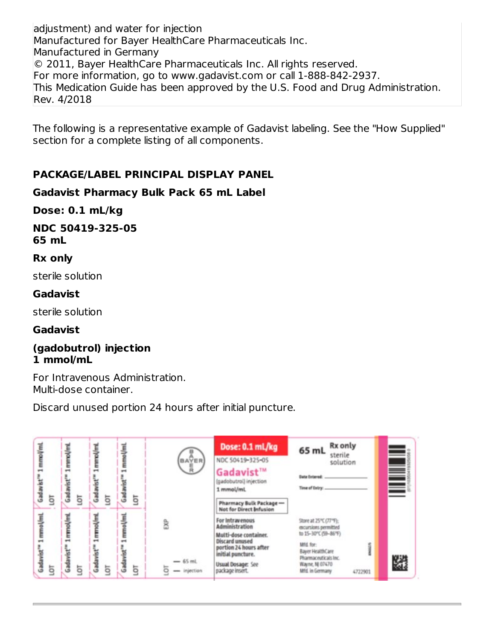adjustment) and water for injection Manufactured for Bayer HealthCare Pharmaceuticals Inc. Manufactured in Germany © 2011, Bayer HealthCare Pharmaceuticals Inc. All rights reserved. For more information, go to www.gadavist.com or call 1-888-842-2937. This Medication Guide has been approved by the U.S. Food and Drug Administration. Rev. 4/2018

The following is a representative example of Gadavist labeling. See the "How Supplied" section for a complete listing of all components.

### **PACKAGE/LABEL PRINCIPAL DISPLAY PANEL**

#### **Gadavist Pharmacy Bulk Pack 65 mL Label**

#### **Dose: 0.1 mL/kg**

**NDC 50419-325-05 65 mL**

#### **Rx only**

sterile solution

#### **Gadavist**

sterile solution

### **Gadavist**

#### **(gadobutrol) injection 1 mmol/mL**

For Intravenous Administration. Multi-dose container.

Discard unused portion 24 hours after initial puncture.

| 1 mmol/ml<br>Gadavist<br>ā               | mmol/ml<br>$\overline{\phantom{a}}$<br>낲<br>Ğ<br>ā | 1 mmol/ml<br>눞<br>3<br>ā | mmol/ml<br>Gad<br>ā     | <b>BAYER</b><br>員           | Dose: 0.1 mL/kg<br>NDC 50419-325-05<br>Gadavist™<br>(gadobutrol) injection<br>1 mmol/ml<br>Pharmacy Bulk Package-                                                                                     | <b>Rx</b> only<br>65 mL<br>sterile<br>solution<br><b>Date Entered:</b><br>Time of Entry:                                                                                               |   |
|------------------------------------------|----------------------------------------------------|--------------------------|-------------------------|-----------------------------|-------------------------------------------------------------------------------------------------------------------------------------------------------------------------------------------------------|----------------------------------------------------------------------------------------------------------------------------------------------------------------------------------------|---|
| 1. mmol/ml<br>Gadavist <sup>®</sup><br>ā | mmol/ml<br>$\overline{\phantom{a}}$<br>ā           | 1 mmol/ml<br>នី<br>ā     | mmol/ml<br>لا<br>ئ<br>ā | និ<br>$-65$ mL<br>injection | Not for Direct Infusion<br>For Intravenous<br>Administration<br>Multi-dose container.<br>Discard unused<br>portion 24 hours after<br>initial puncture.<br><b>Usual Dosage: See</b><br>package insert. | Store at 25°C (77°F);<br>excursions permitted<br>to 15-30°C (59-86°F).<br>Mid for:<br><b>Bayer HealthCare</b><br>Pharmaceuticals Inc.<br>Wayne, NJ 07470<br>Mfd. in Germany<br>4722901 | W |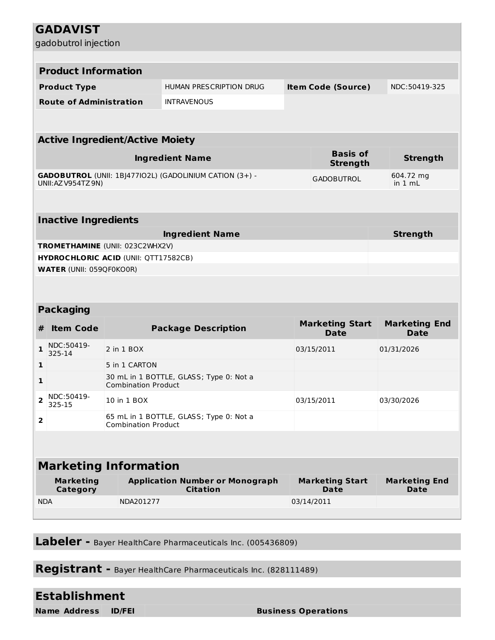|                              | <b>GADAVIST</b>                                                                                            |                                             |                                                           |  |                                       |                                     |  |  |  |  |  |  |
|------------------------------|------------------------------------------------------------------------------------------------------------|---------------------------------------------|-----------------------------------------------------------|--|---------------------------------------|-------------------------------------|--|--|--|--|--|--|
|                              | gadobutrol injection                                                                                       |                                             |                                                           |  |                                       |                                     |  |  |  |  |  |  |
|                              |                                                                                                            |                                             |                                                           |  |                                       |                                     |  |  |  |  |  |  |
|                              | <b>Product Information</b>                                                                                 |                                             |                                                           |  |                                       |                                     |  |  |  |  |  |  |
|                              | <b>Product Type</b>                                                                                        |                                             | <b>HUMAN PRESCRIPTION DRUG</b>                            |  | <b>Item Code (Source)</b>             | NDC:50419-325                       |  |  |  |  |  |  |
|                              | <b>Route of Administration</b>                                                                             |                                             | <b>INTRAVENOUS</b>                                        |  |                                       |                                     |  |  |  |  |  |  |
|                              |                                                                                                            |                                             |                                                           |  |                                       |                                     |  |  |  |  |  |  |
|                              | <b>Active Ingredient/Active Moiety</b>                                                                     |                                             |                                                           |  |                                       |                                     |  |  |  |  |  |  |
|                              |                                                                                                            |                                             | <b>Ingredient Name</b>                                    |  | <b>Basis of</b><br><b>Strength</b>    | <b>Strength</b>                     |  |  |  |  |  |  |
|                              | <b>GADOBUTROL</b> (UNII: 1BJ477IO2L) (GADOLINIUM CATION (3+) -<br><b>GADOBUTROL</b><br>UNII: AZ V954TZ 9N) |                                             |                                                           |  |                                       | 604.72 mg<br>in 1 mL                |  |  |  |  |  |  |
|                              |                                                                                                            |                                             |                                                           |  |                                       |                                     |  |  |  |  |  |  |
|                              |                                                                                                            |                                             |                                                           |  |                                       |                                     |  |  |  |  |  |  |
|                              | <b>Inactive Ingredients</b>                                                                                |                                             |                                                           |  |                                       |                                     |  |  |  |  |  |  |
|                              |                                                                                                            |                                             | <b>Ingredient Name</b>                                    |  |                                       | <b>Strength</b>                     |  |  |  |  |  |  |
|                              |                                                                                                            | TROMETHAMINE (UNII: 023C2WHX2V)             |                                                           |  |                                       |                                     |  |  |  |  |  |  |
|                              | <b>WATER (UNII: 059QF0KO0R)</b>                                                                            | <b>HYDROCHLORIC ACID (UNII: QTT17582CB)</b> |                                                           |  |                                       |                                     |  |  |  |  |  |  |
|                              |                                                                                                            |                                             |                                                           |  |                                       |                                     |  |  |  |  |  |  |
|                              |                                                                                                            |                                             |                                                           |  |                                       |                                     |  |  |  |  |  |  |
|                              | <b>Packaging</b>                                                                                           |                                             |                                                           |  |                                       |                                     |  |  |  |  |  |  |
| #                            | <b>Item Code</b>                                                                                           |                                             | <b>Package Description</b>                                |  | <b>Marketing Start</b>                | <b>Marketing End</b>                |  |  |  |  |  |  |
|                              | NDC:50419-                                                                                                 |                                             |                                                           |  | <b>Date</b>                           | <b>Date</b>                         |  |  |  |  |  |  |
| $\mathbf{1}$                 | 325-14                                                                                                     | 2 in 1 BOX                                  |                                                           |  | 03/15/2011                            | 01/31/2026                          |  |  |  |  |  |  |
| 1                            |                                                                                                            | 5 in 1 CARTON                               |                                                           |  |                                       |                                     |  |  |  |  |  |  |
| $\mathbf{1}$                 |                                                                                                            | <b>Combination Product</b>                  | 30 mL in 1 BOTTLE, GLASS; Type 0: Not a                   |  |                                       |                                     |  |  |  |  |  |  |
| $\overline{\mathbf{2}}$      | NDC:50419-<br>325-15                                                                                       | 10 in 1 BOX                                 |                                                           |  | 03/15/2011                            | 03/30/2026                          |  |  |  |  |  |  |
| $\overline{\mathbf{2}}$      |                                                                                                            | <b>Combination Product</b>                  | 65 mL in 1 BOTTLE, GLASS; Type 0: Not a                   |  |                                       |                                     |  |  |  |  |  |  |
|                              |                                                                                                            |                                             |                                                           |  |                                       |                                     |  |  |  |  |  |  |
| <b>Marketing Information</b> |                                                                                                            |                                             |                                                           |  |                                       |                                     |  |  |  |  |  |  |
|                              | <b>Marketing</b><br>Category                                                                               |                                             | <b>Application Number or Monograph</b><br><b>Citation</b> |  | <b>Marketing Start</b><br><b>Date</b> | <b>Marketing End</b><br><b>Date</b> |  |  |  |  |  |  |
| <b>NDA</b>                   |                                                                                                            | NDA201277                                   |                                                           |  | 03/14/2011                            |                                     |  |  |  |  |  |  |
|                              |                                                                                                            |                                             |                                                           |  |                                       |                                     |  |  |  |  |  |  |

**Labeler -** Bayer HealthCare Pharmaceuticals Inc. (005436809)

**Registrant -** Bayer HealthCare Pharmaceuticals Inc. (828111489)

# **Establishment**

**Name Address ID/FEI Business Operations**